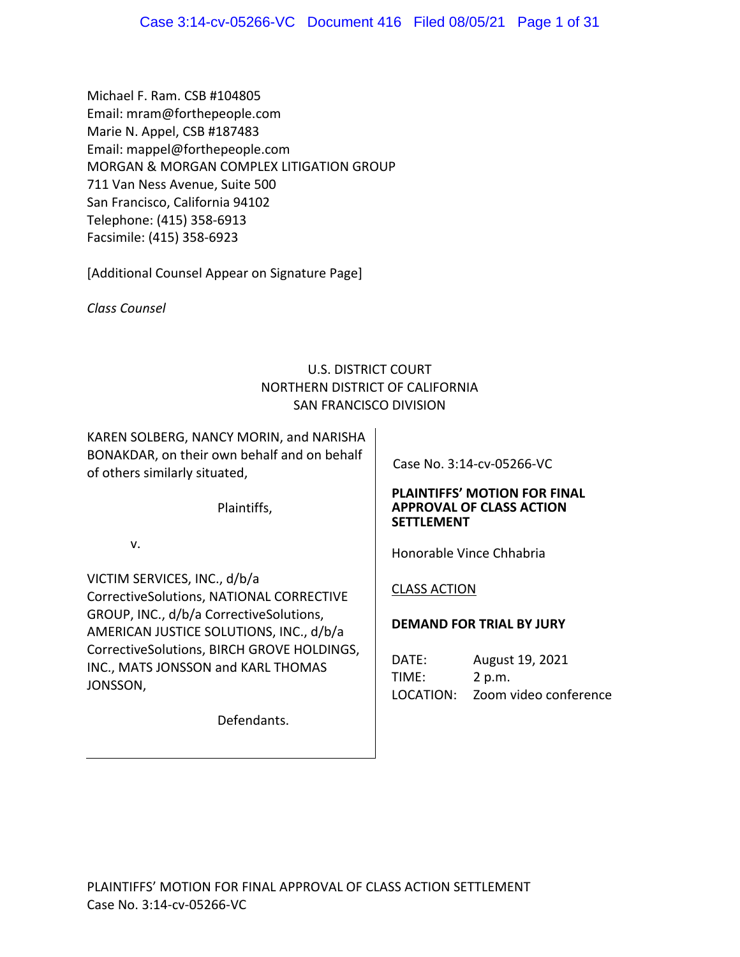Michael F. Ram. CSB #104805 Email: mram@forthepeople.com Marie N. Appel, CSB #187483 Email: mappel@forthepeople.com MORGAN & MORGAN COMPLEX LITIGATION GROUP 711 Van Ness Avenue, Suite 500 San Francisco, California 94102 Telephone: (415) 358‐6913 Facsimile: (415) 358‐6923

[Additional Counsel Appear on Signature Page]

*Class Counsel*

# U.S. DISTRICT COURT NORTHERN DISTRICT OF CALIFORNIA SAN FRANCISCO DIVISION

KAREN SOLBERG, NANCY MORIN, and NARISHA BONAKDAR, on their own behalf and on behalf of others similarly situated,

Plaintiffs,

v.

VICTIM SERVICES, INC., d/b/a CorrectiveSolutions, NATIONAL CORRECTIVE GROUP, INC., d/b/a CorrectiveSolutions, AMERICAN JUSTICE SOLUTIONS, INC., d/b/a CorrectiveSolutions, BIRCH GROVE HOLDINGS, INC., MATS JONSSON and KARL THOMAS JONSSON,

Defendants.

Case No. 3:14‐cv‐05266‐VC

## **PLAINTIFFS' MOTION FOR FINAL APPROVAL OF CLASS ACTION SETTLEMENT**

Honorable Vince Chhabria

# CLASS ACTION

# **DEMAND FOR TRIAL BY JURY**

DATE: August 19, 2021 TIME: 2 p.m. LOCATION: Zoom video conference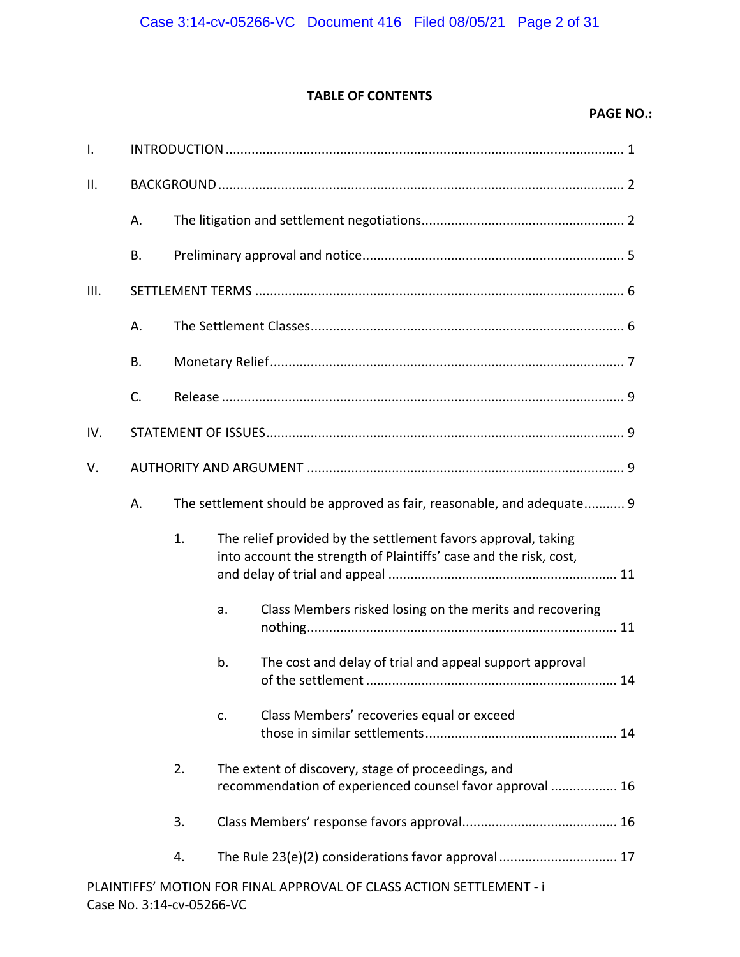# **TABLE OF CONTENTS**

## **PAGE NO.:**

| $\mathsf{I}$ . |    |    |    |                                                                                                                                    |  |  |
|----------------|----|----|----|------------------------------------------------------------------------------------------------------------------------------------|--|--|
| ΙΙ.            |    |    |    |                                                                                                                                    |  |  |
|                | А. |    |    |                                                                                                                                    |  |  |
|                | В. |    |    |                                                                                                                                    |  |  |
| III.           |    |    |    |                                                                                                                                    |  |  |
|                | А. |    |    |                                                                                                                                    |  |  |
|                | В. |    |    |                                                                                                                                    |  |  |
|                | C. |    |    |                                                                                                                                    |  |  |
| IV.            |    |    |    |                                                                                                                                    |  |  |
| V.             |    |    |    |                                                                                                                                    |  |  |
|                | А. |    |    | The settlement should be approved as fair, reasonable, and adequate 9                                                              |  |  |
|                |    | 1. |    | The relief provided by the settlement favors approval, taking<br>into account the strength of Plaintiffs' case and the risk, cost, |  |  |
|                |    |    | a. | Class Members risked losing on the merits and recovering                                                                           |  |  |
|                |    |    | b. | The cost and delay of trial and appeal support approval<br>14                                                                      |  |  |
|                |    |    | c. | Class Members' recoveries equal or exceed                                                                                          |  |  |
|                |    | 2. |    | The extent of discovery, stage of proceedings, and<br>recommendation of experienced counsel favor approval  16                     |  |  |
|                |    | 3. |    |                                                                                                                                    |  |  |
|                |    | 4. |    | The Rule 23(e)(2) considerations favor approval 17                                                                                 |  |  |
|                |    |    |    | PLAINTIFFS' MOTION FOR FINAL APPROVAL OF CLASS ACTION SETTLEMENT - i                                                               |  |  |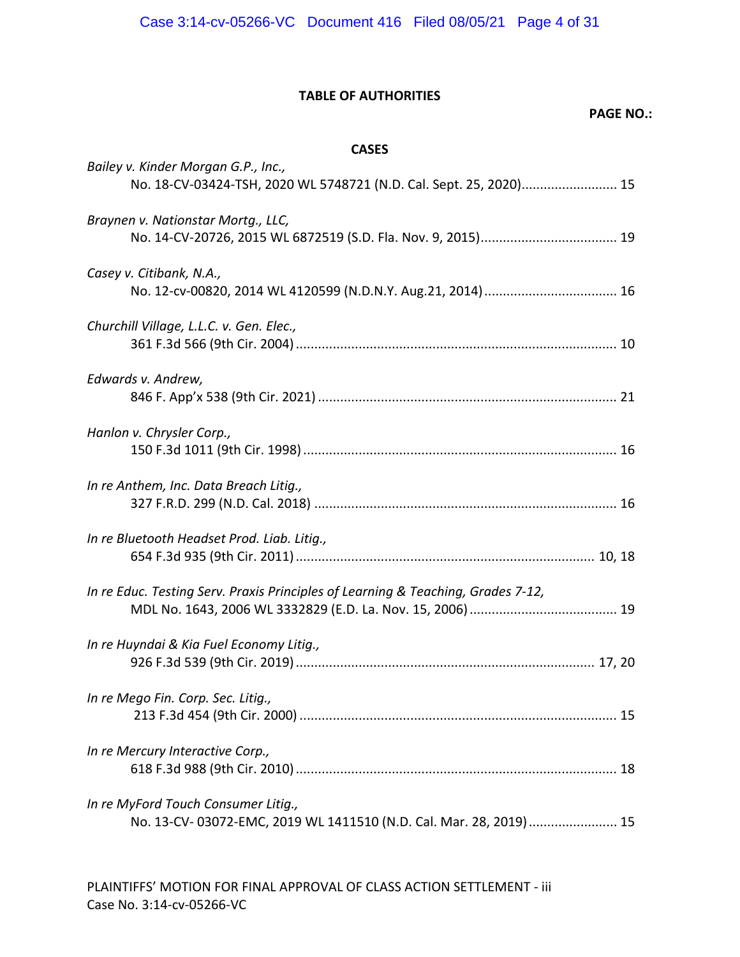# **TABLE OF AUTHORITIES**

## **PAGE NO.:**

## **CASES**

| Bailey v. Kinder Morgan G.P., Inc.,<br>No. 18-CV-03424-TSH, 2020 WL 5748721 (N.D. Cal. Sept. 25, 2020) 15 |  |
|-----------------------------------------------------------------------------------------------------------|--|
| Braynen v. Nationstar Mortg., LLC,                                                                        |  |
| Casey v. Citibank, N.A.,                                                                                  |  |
| Churchill Village, L.L.C. v. Gen. Elec.,                                                                  |  |
| Edwards v. Andrew,                                                                                        |  |
| Hanlon v. Chrysler Corp.,                                                                                 |  |
| In re Anthem, Inc. Data Breach Litig.,                                                                    |  |
| In re Bluetooth Headset Prod. Liab. Litig.,                                                               |  |
| In re Educ. Testing Serv. Praxis Principles of Learning & Teaching, Grades 7-12,                          |  |
| In re Huyndai & Kia Fuel Economy Litig.,                                                                  |  |
| In re Mego Fin. Corp. Sec. Litig.,                                                                        |  |
| In re Mercury Interactive Corp.,                                                                          |  |
| In re MyFord Touch Consumer Litig.,<br>No. 13-CV-03072-EMC, 2019 WL 1411510 (N.D. Cal. Mar. 28, 2019)  15 |  |
|                                                                                                           |  |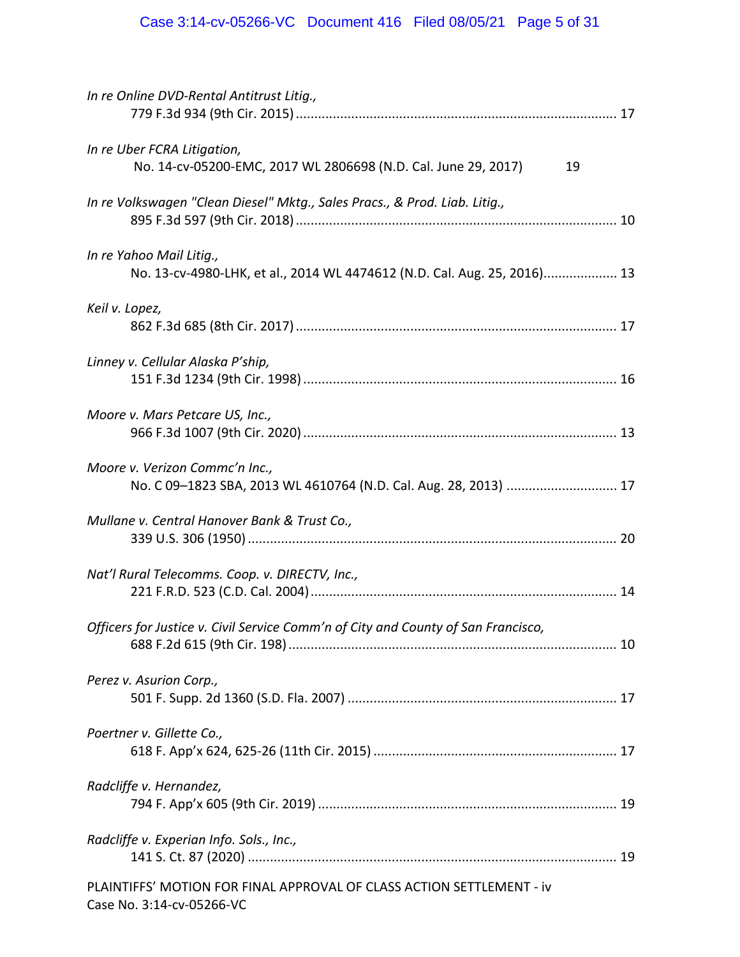| In re Online DVD-Rental Antitrust Litig.,                                                            |
|------------------------------------------------------------------------------------------------------|
| In re Uber FCRA Litigation,<br>No. 14-cv-05200-EMC, 2017 WL 2806698 (N.D. Cal. June 29, 2017)<br>19  |
| In re Volkswagen "Clean Diesel" Mktg., Sales Pracs., & Prod. Liab. Litig.,                           |
| In re Yahoo Mail Litig.,<br>No. 13-cv-4980-LHK, et al., 2014 WL 4474612 (N.D. Cal. Aug. 25, 2016) 13 |
| Keil v. Lopez,                                                                                       |
| Linney v. Cellular Alaska P'ship,                                                                    |
| Moore v. Mars Petcare US, Inc.,                                                                      |
| Moore v. Verizon Commc'n Inc.,<br>No. C 09-1823 SBA, 2013 WL 4610764 (N.D. Cal. Aug. 28, 2013)  17   |
| Mullane v. Central Hanover Bank & Trust Co.,                                                         |
| Nat'l Rural Telecomms. Coop. v. DIRECTV, Inc.,                                                       |
| Officers for Justice v. Civil Service Comm'n of City and County of San Francisco,                    |
| Perez v. Asurion Corp.,                                                                              |
| Poertner v. Gillette Co.,                                                                            |
| Radcliffe v. Hernandez,                                                                              |
| Radcliffe v. Experian Info. Sols., Inc.,                                                             |
| PLAINTIFFS' MOTION FOR FINAL APPROVAL OF CLASS ACTION SETTLEMENT - iv<br>Case No. 3:14-cv-05266-VC   |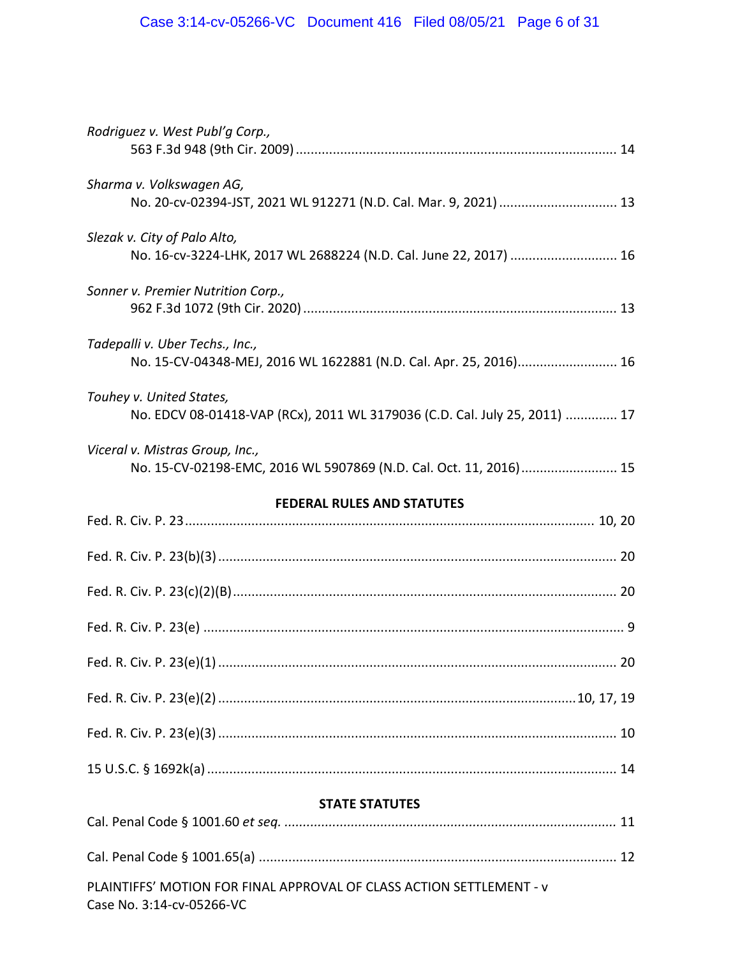| Rodriguez v. West Publ'g Corp.,                                                                        |
|--------------------------------------------------------------------------------------------------------|
| Sharma v. Volkswagen AG,<br>No. 20-cv-02394-JST, 2021 WL 912271 (N.D. Cal. Mar. 9, 2021)  13           |
| Slezak v. City of Palo Alto,<br>No. 16-cv-3224-LHK, 2017 WL 2688224 (N.D. Cal. June 22, 2017)  16      |
| Sonner v. Premier Nutrition Corp.,                                                                     |
| Tadepalli v. Uber Techs., Inc.,<br>No. 15-CV-04348-MEJ, 2016 WL 1622881 (N.D. Cal. Apr. 25, 2016) 16   |
| Touhey v. United States,<br>No. EDCV 08-01418-VAP (RCx), 2011 WL 3179036 (C.D. Cal. July 25, 2011)  17 |
| Viceral v. Mistras Group, Inc.,<br>No. 15-CV-02198-EMC, 2016 WL 5907869 (N.D. Cal. Oct. 11, 2016) 15   |
| <b>FEDERAL RULES AND STATUTES</b>                                                                      |
|                                                                                                        |
|                                                                                                        |
|                                                                                                        |
|                                                                                                        |
|                                                                                                        |
|                                                                                                        |
|                                                                                                        |
|                                                                                                        |
| <b>STATE STATUTES</b>                                                                                  |
|                                                                                                        |
|                                                                                                        |
| PLAINTIFFS' MOTION FOR FINAL APPROVAL OF CLASS ACTION SETTLEMENT - v<br>Case No. 3:14-cv-05266-VC      |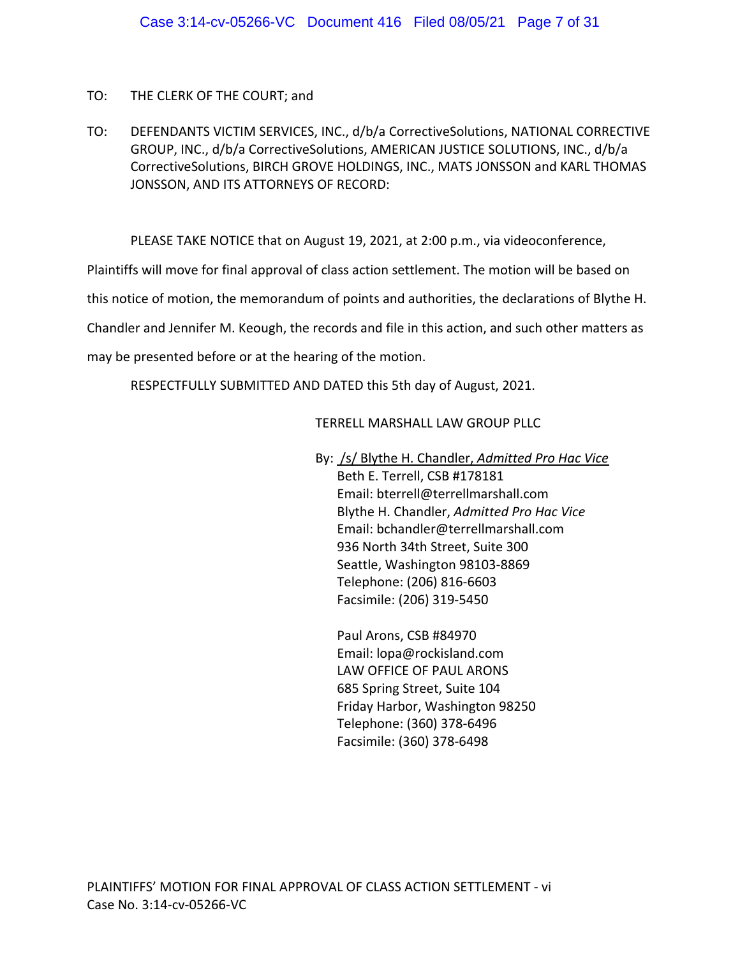# TO: THE CLERK OF THE COURT; and

TO: DEFENDANTS VICTIM SERVICES, INC., d/b/a CorrectiveSolutions, NATIONAL CORRECTIVE GROUP, INC., d/b/a CorrectiveSolutions, AMERICAN JUSTICE SOLUTIONS, INC., d/b/a CorrectiveSolutions, BIRCH GROVE HOLDINGS, INC., MATS JONSSON and KARL THOMAS JONSSON, AND ITS ATTORNEYS OF RECORD:

PLEASE TAKE NOTICE that on August 19, 2021, at 2:00 p.m., via videoconference,

Plaintiffs will move for final approval of class action settlement. The motion will be based on

this notice of motion, the memorandum of points and authorities, the declarations of Blythe H.

Chandler and Jennifer M. Keough, the records and file in this action, and such other matters as

may be presented before or at the hearing of the motion.

RESPECTFULLY SUBMITTED AND DATED this 5th day of August, 2021.

## TERRELL MARSHALL LAW GROUP PLLC

By: /s/ Blythe H. Chandler, *Admitted Pro Hac Vice*

Beth E. Terrell, CSB #178181 Email: bterrell@terrellmarshall.com Blythe H. Chandler, *Admitted Pro Hac Vice* Email: bchandler@terrellmarshall.com 936 North 34th Street, Suite 300 Seattle, Washington 98103‐8869 Telephone: (206) 816‐6603 Facsimile: (206) 319‐5450

Paul Arons, CSB #84970 Email: lopa@rockisland.com LAW OFFICE OF PAUL ARONS 685 Spring Street, Suite 104 Friday Harbor, Washington 98250 Telephone: (360) 378‐6496 Facsimile: (360) 378‐6498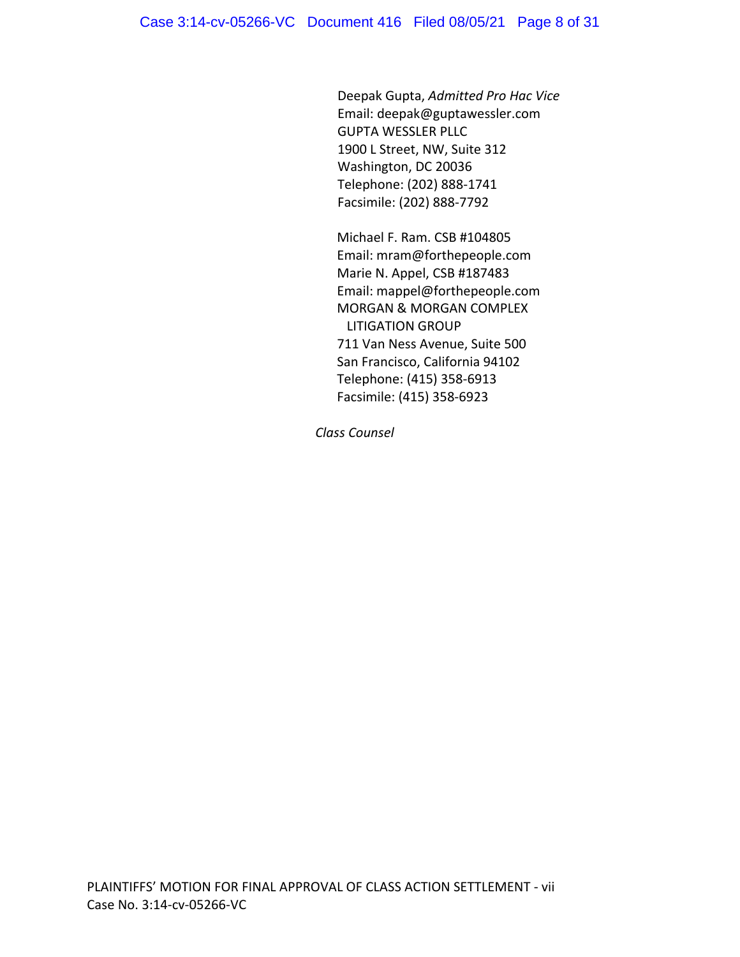Deepak Gupta, *Admitted Pro Hac Vice* Email: deepak@guptawessler.com GUPTA WESSLER PLLC 1900 L Street, NW, Suite 312 Washington, DC 20036 Telephone: (202) 888‐1741 Facsimile: (202) 888‐7792

Michael F. Ram. CSB #104805 Email: mram@forthepeople.com Marie N. Appel, CSB #187483 Email: mappel@forthepeople.com MORGAN & MORGAN COMPLEX LITIGATION GROUP 711 Van Ness Avenue, Suite 500 San Francisco, California 94102 Telephone: (415) 358‐6913 Facsimile: (415) 358‐6923

*Class Counsel*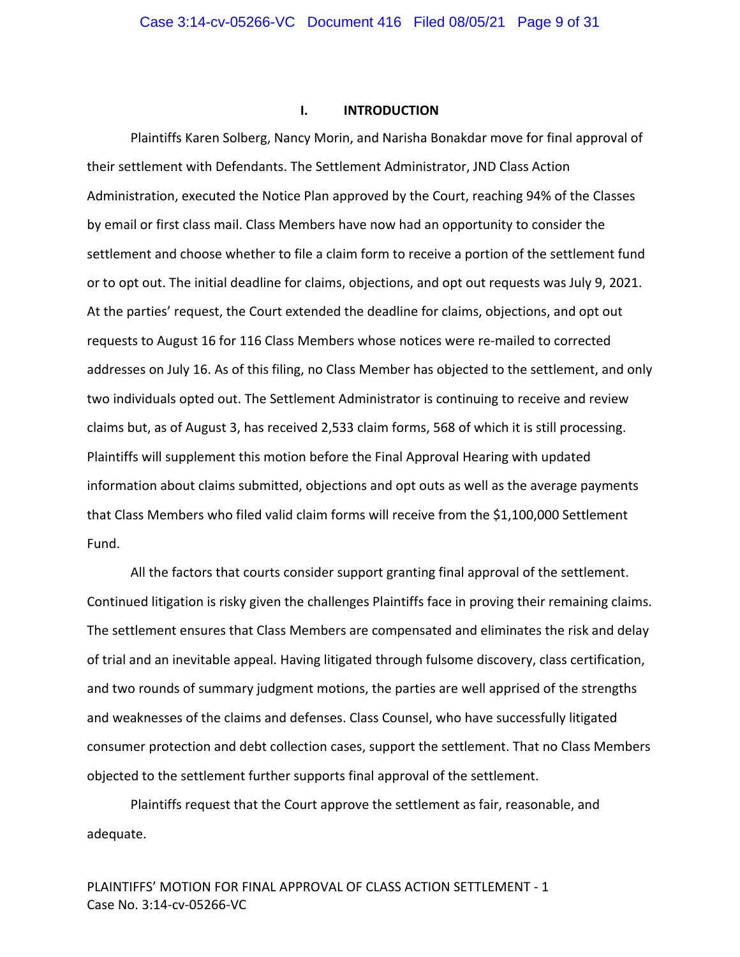### **I. INTRODUCTION**

Plaintiffs Karen Solberg, Nancy Morin, and Narisha Bonakdar move for final approval of their settlement with Defendants. The Settlement Administrator, JND Class Action Administration, executed the Notice Plan approved by the Court, reaching 94% of the Classes by email or first class mail. Class Members have now had an opportunity to consider the settlement and choose whether to file a claim form to receive a portion of the settlement fund or to opt out. The initial deadline for claims, objections, and opt out requests was July 9, 2021. At the parties' request, the Court extended the deadline for claims, objections, and opt out requests to August 16 for 116 Class Members whose notices were re‐mailed to corrected addresses on July 16. As of this filing, no Class Member has objected to the settlement, and only two individuals opted out. The Settlement Administrator is continuing to receive and review claims but, as of August 3, has received 2,533 claim forms, 568 of which it is still processing. Plaintiffs will supplement this motion before the Final Approval Hearing with updated information about claims submitted, objections and opt outs as well as the average payments that Class Members who filed valid claim forms will receive from the \$1,100,000 Settlement Fund.

All the factors that courts consider support granting final approval of the settlement. Continued litigation is risky given the challenges Plaintiffs face in proving their remaining claims. The settlement ensures that Class Members are compensated and eliminates the risk and delay of trial and an inevitable appeal. Having litigated through fulsome discovery, class certification, and two rounds of summary judgment motions, the parties are well apprised of the strengths and weaknesses of the claims and defenses. Class Counsel, who have successfully litigated consumer protection and debt collection cases, support the settlement. That no Class Members objected to the settlement further supports final approval of the settlement.

Plaintiffs request that the Court approve the settlement as fair, reasonable, and adequate.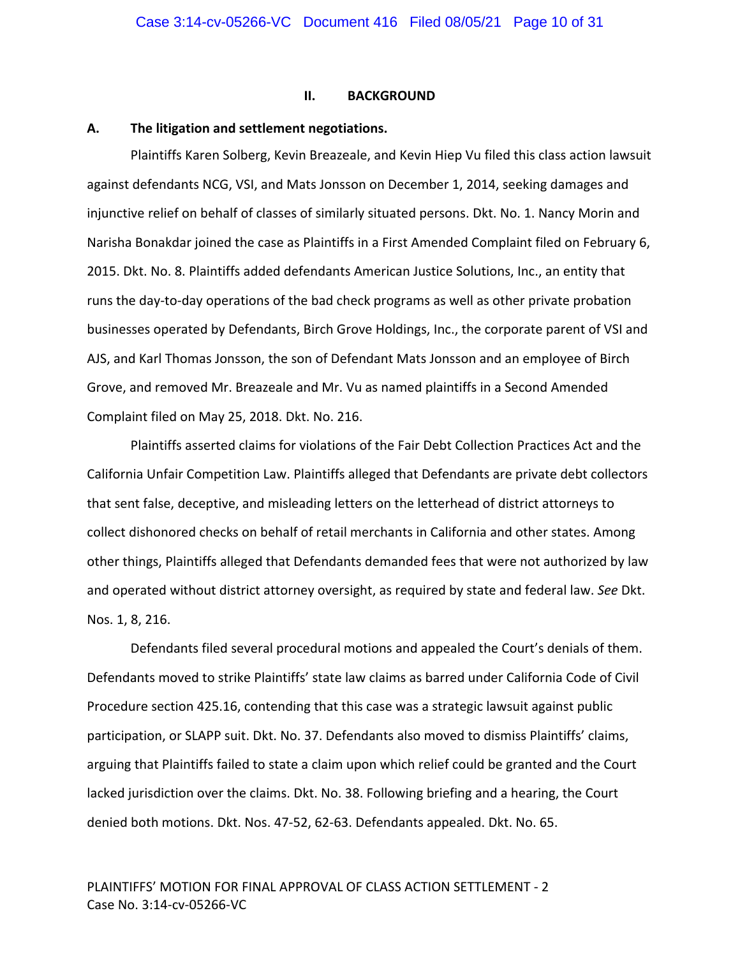#### **II. BACKGROUND**

#### **A. The litigation and settlement negotiations.**

Plaintiffs Karen Solberg, Kevin Breazeale, and Kevin Hiep Vu filed this class action lawsuit against defendants NCG, VSI, and Mats Jonsson on December 1, 2014, seeking damages and injunctive relief on behalf of classes of similarly situated persons. Dkt. No. 1. Nancy Morin and Narisha Bonakdar joined the case as Plaintiffs in a First Amended Complaint filed on February 6, 2015. Dkt. No. 8. Plaintiffs added defendants American Justice Solutions, Inc., an entity that runs the day‐to‐day operations of the bad check programs as well as other private probation businesses operated by Defendants, Birch Grove Holdings, Inc., the corporate parent of VSI and AJS, and Karl Thomas Jonsson, the son of Defendant Mats Jonsson and an employee of Birch Grove, and removed Mr. Breazeale and Mr. Vu as named plaintiffs in a Second Amended Complaint filed on May 25, 2018. Dkt. No. 216.

Plaintiffs asserted claims for violations of the Fair Debt Collection Practices Act and the California Unfair Competition Law. Plaintiffs alleged that Defendants are private debt collectors that sent false, deceptive, and misleading letters on the letterhead of district attorneys to collect dishonored checks on behalf of retail merchants in California and other states. Among other things, Plaintiffs alleged that Defendants demanded fees that were not authorized by law and operated without district attorney oversight, as required by state and federal law. *See* Dkt. Nos. 1, 8, 216.

Defendants filed several procedural motions and appealed the Court's denials of them. Defendants moved to strike Plaintiffs' state law claims as barred under California Code of Civil Procedure section 425.16, contending that this case was a strategic lawsuit against public participation, or SLAPP suit. Dkt. No. 37. Defendants also moved to dismiss Plaintiffs' claims, arguing that Plaintiffs failed to state a claim upon which relief could be granted and the Court lacked jurisdiction over the claims. Dkt. No. 38. Following briefing and a hearing, the Court denied both motions. Dkt. Nos. 47‐52, 62‐63. Defendants appealed. Dkt. No. 65.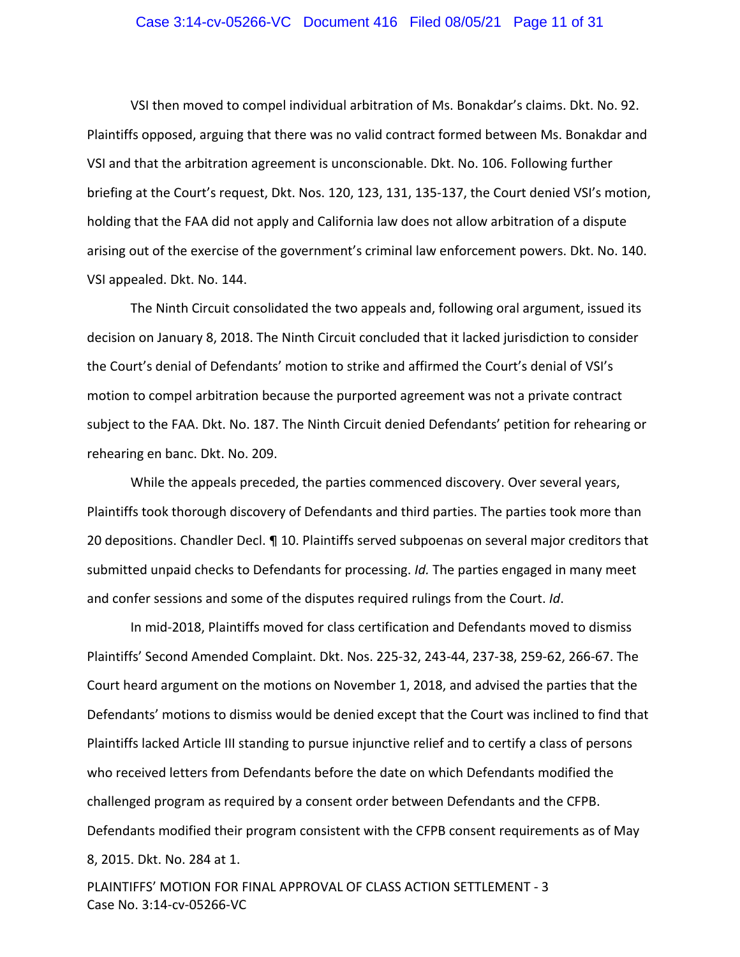## Case 3:14-cv-05266-VC Document 416 Filed 08/05/21 Page 11 of 31

VSI then moved to compel individual arbitration of Ms. Bonakdar's claims. Dkt. No. 92. Plaintiffs opposed, arguing that there was no valid contract formed between Ms. Bonakdar and VSI and that the arbitration agreement is unconscionable. Dkt. No. 106. Following further briefing at the Court's request, Dkt. Nos. 120, 123, 131, 135‐137, the Court denied VSI's motion, holding that the FAA did not apply and California law does not allow arbitration of a dispute arising out of the exercise of the government's criminal law enforcement powers. Dkt. No. 140. VSI appealed. Dkt. No. 144.

The Ninth Circuit consolidated the two appeals and, following oral argument, issued its decision on January 8, 2018. The Ninth Circuit concluded that it lacked jurisdiction to consider the Court's denial of Defendants' motion to strike and affirmed the Court's denial of VSI's motion to compel arbitration because the purported agreement was not a private contract subject to the FAA. Dkt. No. 187. The Ninth Circuit denied Defendants' petition for rehearing or rehearing en banc. Dkt. No. 209.

While the appeals preceded, the parties commenced discovery. Over several years, Plaintiffs took thorough discovery of Defendants and third parties. The parties took more than 20 depositions. Chandler Decl. ¶ 10. Plaintiffs served subpoenas on several major creditors that submitted unpaid checks to Defendants for processing. *Id.* The parties engaged in many meet and confer sessions and some of the disputes required rulings from the Court. *Id*.

In mid‐2018, Plaintiffs moved for class certification and Defendants moved to dismiss Plaintiffs' Second Amended Complaint. Dkt. Nos. 225‐32, 243‐44, 237‐38, 259‐62, 266‐67. The Court heard argument on the motions on November 1, 2018, and advised the parties that the Defendants' motions to dismiss would be denied except that the Court was inclined to find that Plaintiffs lacked Article III standing to pursue injunctive relief and to certify a class of persons who received letters from Defendants before the date on which Defendants modified the challenged program as required by a consent order between Defendants and the CFPB. Defendants modified their program consistent with the CFPB consent requirements as of May 8, 2015. Dkt. No. 284 at 1.

PLAINTIFFS' MOTION FOR FINAL APPROVAL OF CLASS ACTION SETTLEMENT ‐ 3 Case No. 3:14‐cv‐05266‐VC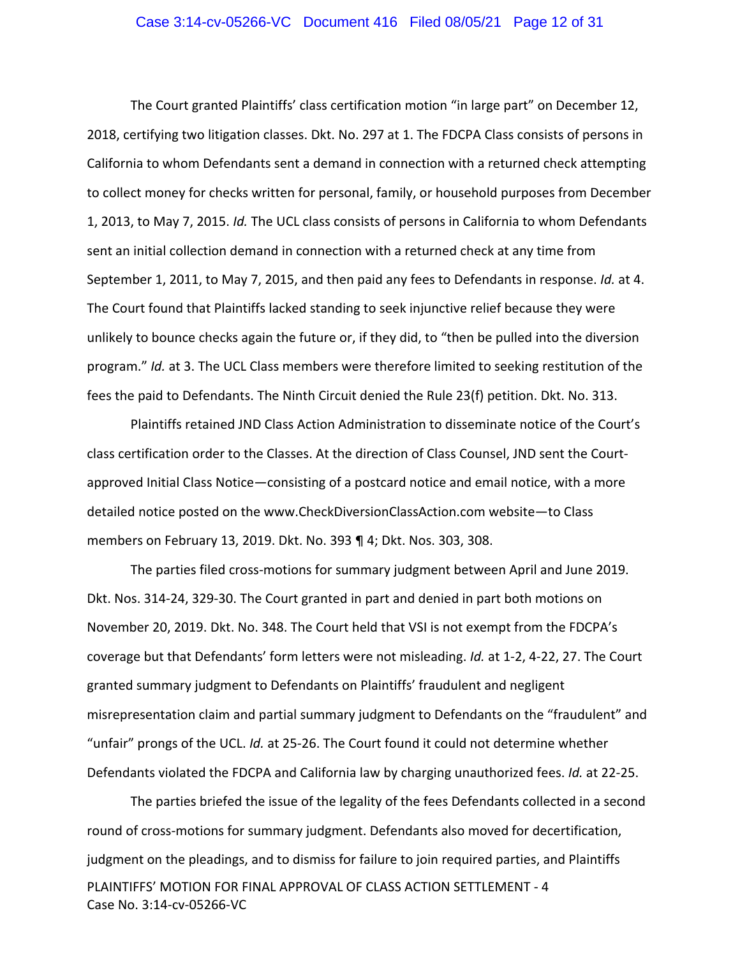## Case 3:14-cv-05266-VC Document 416 Filed 08/05/21 Page 12 of 31

The Court granted Plaintiffs' class certification motion "in large part" on December 12, 2018, certifying two litigation classes. Dkt. No. 297 at 1. The FDCPA Class consists of persons in California to whom Defendants sent a demand in connection with a returned check attempting to collect money for checks written for personal, family, or household purposes from December 1, 2013, to May 7, 2015. *Id.* The UCL class consists of persons in California to whom Defendants sent an initial collection demand in connection with a returned check at any time from September 1, 2011, to May 7, 2015, and then paid any fees to Defendants in response. *Id.* at 4. The Court found that Plaintiffs lacked standing to seek injunctive relief because they were unlikely to bounce checks again the future or, if they did, to "then be pulled into the diversion program." *Id.* at 3. The UCL Class members were therefore limited to seeking restitution of the fees the paid to Defendants. The Ninth Circuit denied the Rule 23(f) petition. Dkt. No. 313.

Plaintiffs retained JND Class Action Administration to disseminate notice of the Court's class certification order to the Classes. At the direction of Class Counsel, JND sent the Court‐ approved Initial Class Notice—consisting of a postcard notice and email notice, with a more detailed notice posted on the www.CheckDiversionClassAction.com website—to Class members on February 13, 2019. Dkt. No. 393 ¶ 4; Dkt. Nos. 303, 308.

The parties filed cross‐motions for summary judgment between April and June 2019. Dkt. Nos. 314‐24, 329‐30. The Court granted in part and denied in part both motions on November 20, 2019. Dkt. No. 348. The Court held that VSI is not exempt from the FDCPA's coverage but that Defendants' form letters were not misleading. *Id.* at 1‐2, 4‐22, 27. The Court granted summary judgment to Defendants on Plaintiffs' fraudulent and negligent misrepresentation claim and partial summary judgment to Defendants on the "fraudulent" and "unfair" prongs of the UCL. *Id.* at 25‐26. The Court found it could not determine whether Defendants violated the FDCPA and California law by charging unauthorized fees. *Id.* at 22‐25.

PLAINTIFFS' MOTION FOR FINAL APPROVAL OF CLASS ACTION SETTLEMENT ‐ 4 Case No. 3:14‐cv‐05266‐VC The parties briefed the issue of the legality of the fees Defendants collected in a second round of cross‐motions for summary judgment. Defendants also moved for decertification, judgment on the pleadings, and to dismiss for failure to join required parties, and Plaintiffs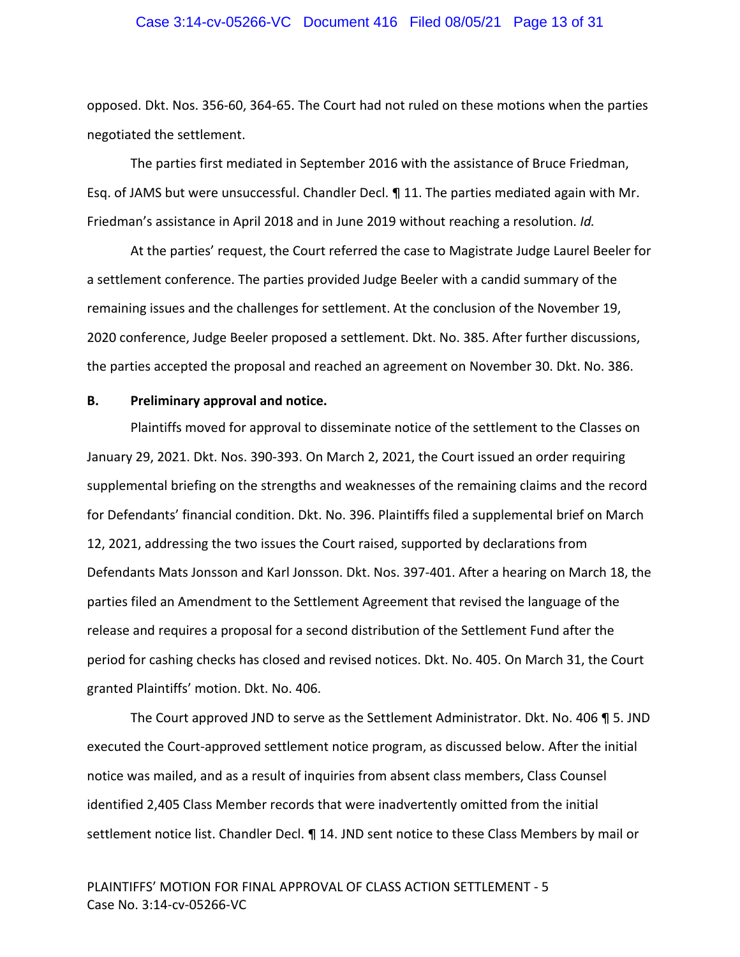## Case 3:14-cv-05266-VC Document 416 Filed 08/05/21 Page 13 of 31

opposed. Dkt. Nos. 356‐60, 364‐65. The Court had not ruled on these motions when the parties negotiated the settlement.

The parties first mediated in September 2016 with the assistance of Bruce Friedman, Esq. of JAMS but were unsuccessful. Chandler Decl. ¶ 11. The parties mediated again with Mr. Friedman's assistance in April 2018 and in June 2019 without reaching a resolution. *Id.*

At the parties' request, the Court referred the case to Magistrate Judge Laurel Beeler for a settlement conference. The parties provided Judge Beeler with a candid summary of the remaining issues and the challenges for settlement. At the conclusion of the November 19, 2020 conference, Judge Beeler proposed a settlement. Dkt. No. 385. After further discussions, the parties accepted the proposal and reached an agreement on November 30. Dkt. No. 386.

## **B. Preliminary approval and notice.**

Plaintiffs moved for approval to disseminate notice of the settlement to the Classes on January 29, 2021. Dkt. Nos. 390‐393. On March 2, 2021, the Court issued an order requiring supplemental briefing on the strengths and weaknesses of the remaining claims and the record for Defendants' financial condition. Dkt. No. 396. Plaintiffs filed a supplemental brief on March 12, 2021, addressing the two issues the Court raised, supported by declarations from Defendants Mats Jonsson and Karl Jonsson. Dkt. Nos. 397‐401. After a hearing on March 18, the parties filed an Amendment to the Settlement Agreement that revised the language of the release and requires a proposal for a second distribution of the Settlement Fund after the period for cashing checks has closed and revised notices. Dkt. No. 405. On March 31, the Court granted Plaintiffs' motion. Dkt. No. 406.

The Court approved JND to serve as the Settlement Administrator. Dkt. No. 406 ¶ 5. JND executed the Court‐approved settlement notice program, as discussed below. After the initial notice was mailed, and as a result of inquiries from absent class members, Class Counsel identified 2,405 Class Member records that were inadvertently omitted from the initial settlement notice list. Chandler Decl. ¶ 14. JND sent notice to these Class Members by mail or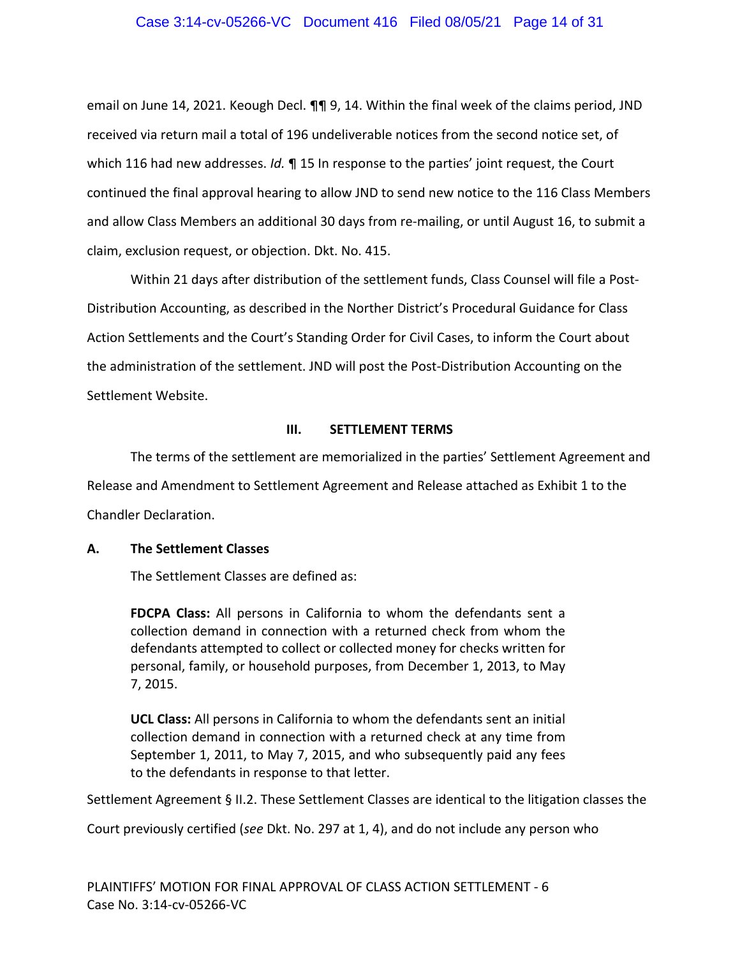## Case 3:14-cv-05266-VC Document 416 Filed 08/05/21 Page 14 of 31

email on June 14, 2021. Keough Decl. ¶¶ 9, 14. Within the final week of the claims period, JND received via return mail a total of 196 undeliverable notices from the second notice set, of which 116 had new addresses. *Id.* ¶ 15 In response to the parties' joint request, the Court continued the final approval hearing to allow JND to send new notice to the 116 Class Members and allow Class Members an additional 30 days from re‐mailing, or until August 16, to submit a claim, exclusion request, or objection. Dkt. No. 415.

Within 21 days after distribution of the settlement funds, Class Counsel will file a Post-Distribution Accounting, as described in the Norther District's Procedural Guidance for Class Action Settlements and the Court's Standing Order for Civil Cases, to inform the Court about the administration of the settlement. JND will post the Post-Distribution Accounting on the Settlement Website.

#### **III. SETTLEMENT TERMS**

The terms of the settlement are memorialized in the parties' Settlement Agreement and Release and Amendment to Settlement Agreement and Release attached as Exhibit 1 to the Chandler Declaration.

## **A. The Settlement Classes**

The Settlement Classes are defined as:

**FDCPA Class:** All persons in California to whom the defendants sent a collection demand in connection with a returned check from whom the defendants attempted to collect or collected money for checks written for personal, family, or household purposes, from December 1, 2013, to May 7, 2015.

**UCL Class:** All persons in California to whom the defendants sent an initial collection demand in connection with a returned check at any time from September 1, 2011, to May 7, 2015, and who subsequently paid any fees to the defendants in response to that letter.

Settlement Agreement § II.2. These Settlement Classes are identical to the litigation classes the

Court previously certified (*see* Dkt. No. 297 at 1, 4), and do not include any person who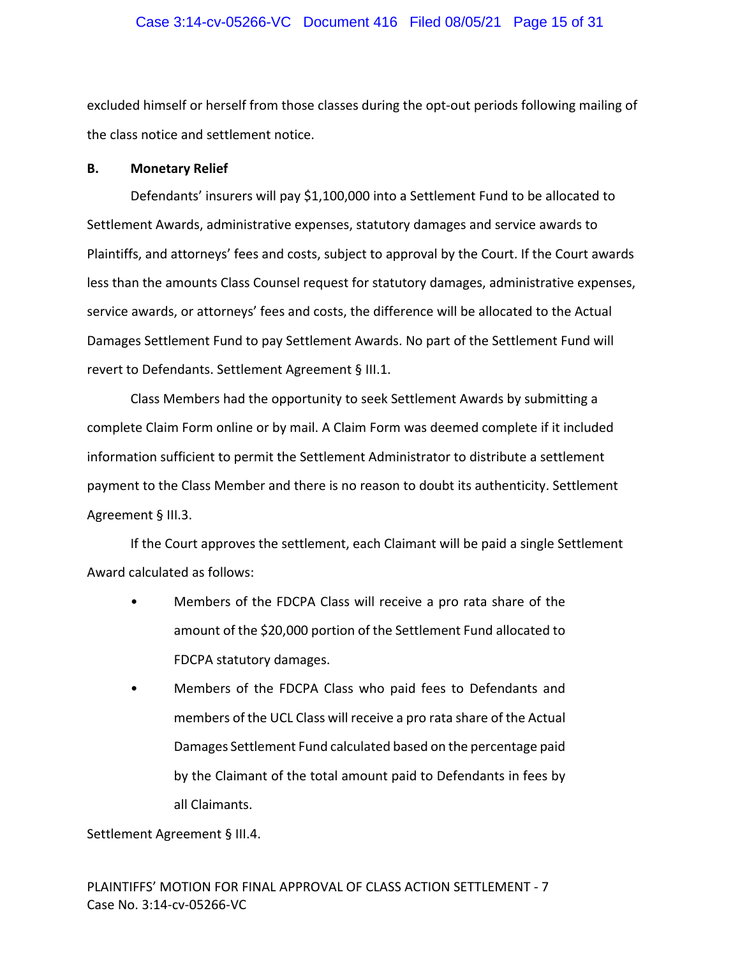## Case 3:14-cv-05266-VC Document 416 Filed 08/05/21 Page 15 of 31

excluded himself or herself from those classes during the opt-out periods following mailing of the class notice and settlement notice.

## **B. Monetary Relief**

Defendants' insurers will pay \$1,100,000 into a Settlement Fund to be allocated to Settlement Awards, administrative expenses, statutory damages and service awards to Plaintiffs, and attorneys' fees and costs, subject to approval by the Court. If the Court awards less than the amounts Class Counsel request for statutory damages, administrative expenses, service awards, or attorneys' fees and costs, the difference will be allocated to the Actual Damages Settlement Fund to pay Settlement Awards. No part of the Settlement Fund will revert to Defendants. Settlement Agreement § III.1.

Class Members had the opportunity to seek Settlement Awards by submitting a complete Claim Form online or by mail. A Claim Form was deemed complete if it included information sufficient to permit the Settlement Administrator to distribute a settlement payment to the Class Member and there is no reason to doubt its authenticity. Settlement Agreement § III.3.

If the Court approves the settlement, each Claimant will be paid a single Settlement Award calculated as follows:

- Members of the FDCPA Class will receive a pro rata share of the amount of the \$20,000 portion of the Settlement Fund allocated to FDCPA statutory damages.
- Members of the FDCPA Class who paid fees to Defendants and members of the UCL Class will receive a pro rata share of the Actual Damages Settlement Fund calculated based on the percentage paid by the Claimant of the total amount paid to Defendants in fees by all Claimants.

Settlement Agreement § III.4.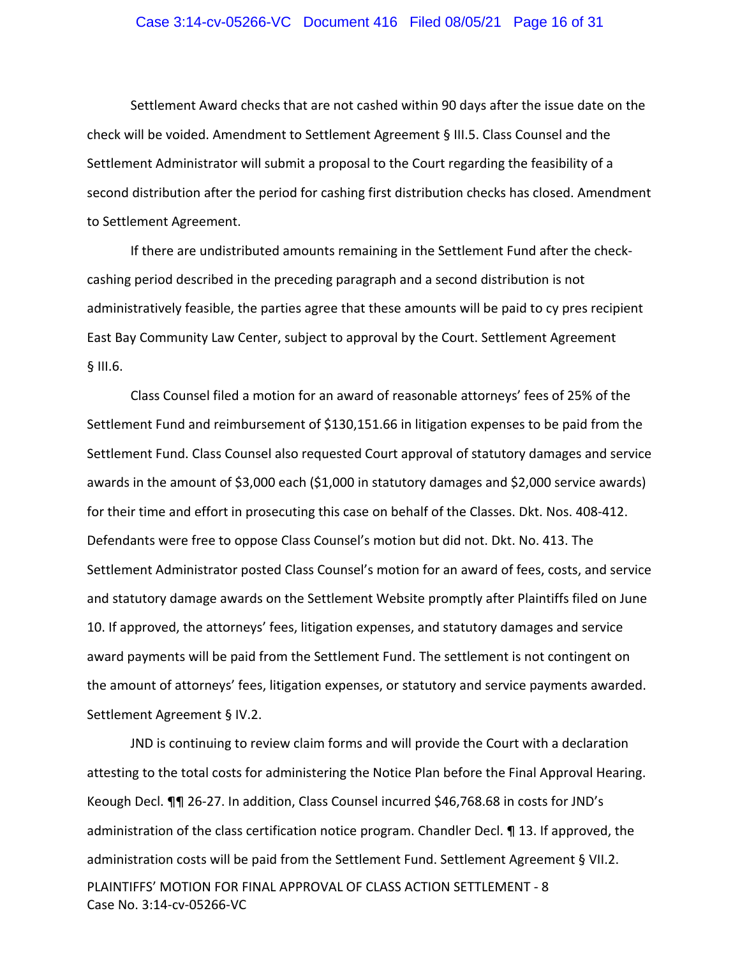### Case 3:14-cv-05266-VC Document 416 Filed 08/05/21 Page 16 of 31

Settlement Award checks that are not cashed within 90 days after the issue date on the check will be voided. Amendment to Settlement Agreement § III.5. Class Counsel and the Settlement Administrator will submit a proposal to the Court regarding the feasibility of a second distribution after the period for cashing first distribution checks has closed. Amendment to Settlement Agreement.

If there are undistributed amounts remaining in the Settlement Fund after the check‐ cashing period described in the preceding paragraph and a second distribution is not administratively feasible, the parties agree that these amounts will be paid to cy pres recipient East Bay Community Law Center, subject to approval by the Court. Settlement Agreement § III.6.

Class Counsel filed a motion for an award of reasonable attorneys' fees of 25% of the Settlement Fund and reimbursement of \$130,151.66 in litigation expenses to be paid from the Settlement Fund. Class Counsel also requested Court approval of statutory damages and service awards in the amount of \$3,000 each (\$1,000 in statutory damages and \$2,000 service awards) for their time and effort in prosecuting this case on behalf of the Classes. Dkt. Nos. 408‐412. Defendants were free to oppose Class Counsel's motion but did not. Dkt. No. 413. The Settlement Administrator posted Class Counsel's motion for an award of fees, costs, and service and statutory damage awards on the Settlement Website promptly after Plaintiffs filed on June 10. If approved, the attorneys' fees, litigation expenses, and statutory damages and service award payments will be paid from the Settlement Fund. The settlement is not contingent on the amount of attorneys' fees, litigation expenses, or statutory and service payments awarded. Settlement Agreement § IV.2.

PLAINTIFFS' MOTION FOR FINAL APPROVAL OF CLASS ACTION SETTLEMENT ‐ 8 Case No. 3:14‐cv‐05266‐VC JND is continuing to review claim forms and will provide the Court with a declaration attesting to the total costs for administering the Notice Plan before the Final Approval Hearing. Keough Decl. ¶¶ 26‐27. In addition, Class Counsel incurred \$46,768.68 in costs for JND's administration of the class certification notice program. Chandler Decl. ¶ 13. If approved, the administration costs will be paid from the Settlement Fund. Settlement Agreement § VII.2.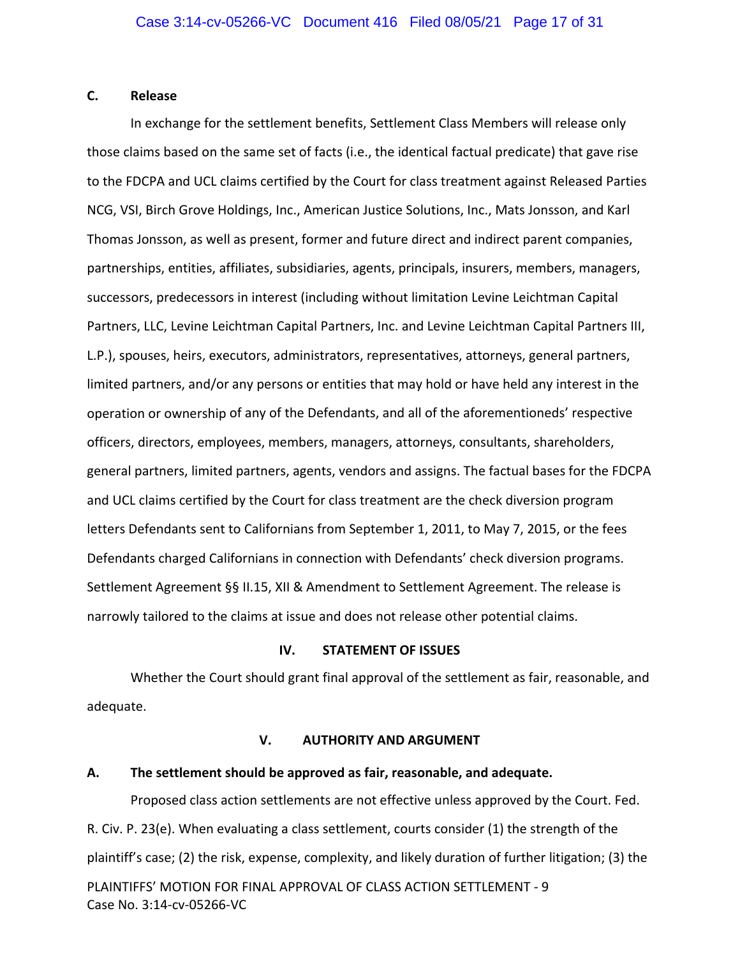## **C. Release**

In exchange for the settlement benefits, Settlement Class Members will release only those claims based on the same set of facts (i.e., the identical factual predicate) that gave rise to the FDCPA and UCL claims certified by the Court for class treatment against Released Parties NCG, VSI, Birch Grove Holdings, Inc., American Justice Solutions, Inc., Mats Jonsson, and Karl Thomas Jonsson, as well as present, former and future direct and indirect parent companies, partnerships, entities, affiliates, subsidiaries, agents, principals, insurers, members, managers, successors, predecessors in interest (including without limitation Levine Leichtman Capital Partners, LLC, Levine Leichtman Capital Partners, Inc. and Levine Leichtman Capital Partners III, L.P.), spouses, heirs, executors, administrators, representatives, attorneys, general partners, limited partners, and/or any persons or entities that may hold or have held any interest in the operation or ownership of any of the Defendants, and all of the aforementioneds' respective officers, directors, employees, members, managers, attorneys, consultants, shareholders, general partners, limited partners, agents, vendors and assigns. The factual bases for the FDCPA and UCL claims certified by the Court for class treatment are the check diversion program letters Defendants sent to Californians from September 1, 2011, to May 7, 2015, or the fees Defendants charged Californians in connection with Defendants' check diversion programs. Settlement Agreement §§ II.15, XII & Amendment to Settlement Agreement. The release is narrowly tailored to the claims at issue and does not release other potential claims.

## **IV. STATEMENT OF ISSUES**

Whether the Court should grant final approval of the settlement as fair, reasonable, and adequate.

## **V. AUTHORITY AND ARGUMENT**

## **A. The settlement should be approved as fair, reasonable, and adequate.**

Case No. 3:14‐cv‐05266‐VC

PLAINTIFFS' MOTION FOR FINAL APPROVAL OF CLASS ACTION SETTLEMENT ‐ 9 Proposed class action settlements are not effective unless approved by the Court. Fed. R. Civ. P. 23(e). When evaluating a class settlement, courts consider (1) the strength of the plaintiff's case; (2) the risk, expense, complexity, and likely duration of further litigation; (3) the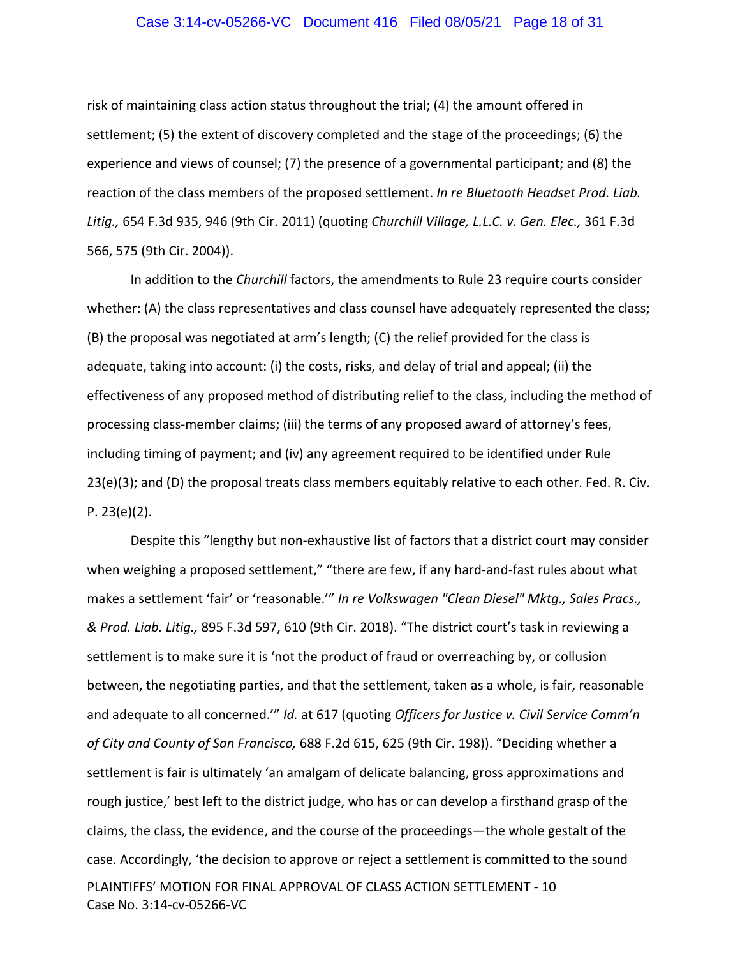## Case 3:14-cv-05266-VC Document 416 Filed 08/05/21 Page 18 of 31

risk of maintaining class action status throughout the trial; (4) the amount offered in settlement; (5) the extent of discovery completed and the stage of the proceedings; (6) the experience and views of counsel; (7) the presence of a governmental participant; and (8) the reaction of the class members of the proposed settlement. *In re Bluetooth Headset Prod. Liab. Litig.,* 654 F.3d 935, 946 (9th Cir. 2011) (quoting *Churchill Village, L.L.C. v. Gen. Elec.,* 361 F.3d 566, 575 (9th Cir. 2004)).

In addition to the *Churchill* factors, the amendments to Rule 23 require courts consider whether: (A) the class representatives and class counsel have adequately represented the class; (B) the proposal was negotiated at arm's length; (C) the relief provided for the class is adequate, taking into account: (i) the costs, risks, and delay of trial and appeal; (ii) the effectiveness of any proposed method of distributing relief to the class, including the method of processing class-member claims; (iii) the terms of any proposed award of attorney's fees, including timing of payment; and (iv) any agreement required to be identified under Rule 23(e)(3); and (D) the proposal treats class members equitably relative to each other. Fed. R. Civ. P. 23(e)(2).

PLAINTIFFS' MOTION FOR FINAL APPROVAL OF CLASS ACTION SETTLEMENT ‐ 10 Case No. 3:14‐cv‐05266‐VC Despite this "lengthy but non‐exhaustive list of factors that a district court may consider when weighing a proposed settlement," "there are few, if any hard-and-fast rules about what makes a settlement 'fair' or 'reasonable.'" *In re Volkswagen "Clean Diesel" Mktg., Sales Pracs., & Prod. Liab. Litig.,* 895 F.3d 597, 610 (9th Cir. 2018). "The district court's task in reviewing a settlement is to make sure it is 'not the product of fraud or overreaching by, or collusion between, the negotiating parties, and that the settlement, taken as a whole, is fair, reasonable and adequate to all concerned.'" *Id.* at 617 (quoting *Officers for Justice v. Civil Service Comm'n of City and County of San Francisco,* 688 F.2d 615, 625 (9th Cir. 198)). "Deciding whether a settlement is fair is ultimately 'an amalgam of delicate balancing, gross approximations and rough justice,' best left to the district judge, who has or can develop a firsthand grasp of the claims, the class, the evidence, and the course of the proceedings—the whole gestalt of the case. Accordingly, 'the decision to approve or reject a settlement is committed to the sound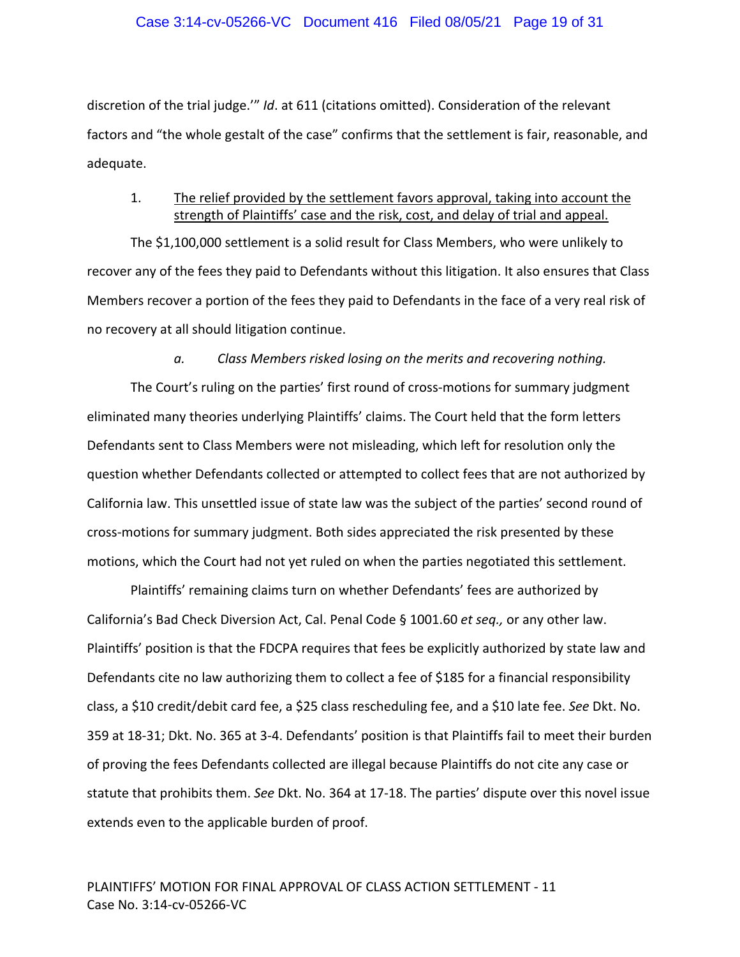discretion of the trial judge.'" *Id*. at 611 (citations omitted). Consideration of the relevant factors and "the whole gestalt of the case" confirms that the settlement is fair, reasonable, and adequate.

# 1. The relief provided by the settlement favors approval, taking into account the strength of Plaintiffs' case and the risk, cost, and delay of trial and appeal.

The \$1,100,000 settlement is a solid result for Class Members, who were unlikely to recover any of the fees they paid to Defendants without this litigation. It also ensures that Class Members recover a portion of the fees they paid to Defendants in the face of a very real risk of no recovery at all should litigation continue.

## *a. Class Members risked losing on the merits and recovering nothing.*

The Court's ruling on the parties' first round of cross-motions for summary judgment eliminated many theories underlying Plaintiffs' claims. The Court held that the form letters Defendants sent to Class Members were not misleading, which left for resolution only the question whether Defendants collected or attempted to collect fees that are not authorized by California law. This unsettled issue of state law was the subject of the parties' second round of cross‐motions for summary judgment. Both sides appreciated the risk presented by these motions, which the Court had not yet ruled on when the parties negotiated this settlement.

Plaintiffs' remaining claims turn on whether Defendants' fees are authorized by California's Bad Check Diversion Act, Cal. Penal Code § 1001.60 *et seq.,* or any other law. Plaintiffs' position is that the FDCPA requires that fees be explicitly authorized by state law and Defendants cite no law authorizing them to collect a fee of \$185 for a financial responsibility class, a \$10 credit/debit card fee, a \$25 class rescheduling fee, and a \$10 late fee. *See* Dkt. No. 359 at 18‐31; Dkt. No. 365 at 3‐4. Defendants' position is that Plaintiffs fail to meet their burden of proving the fees Defendants collected are illegal because Plaintiffs do not cite any case or statute that prohibits them. *See* Dkt. No. 364 at 17‐18. The parties' dispute over this novel issue extends even to the applicable burden of proof.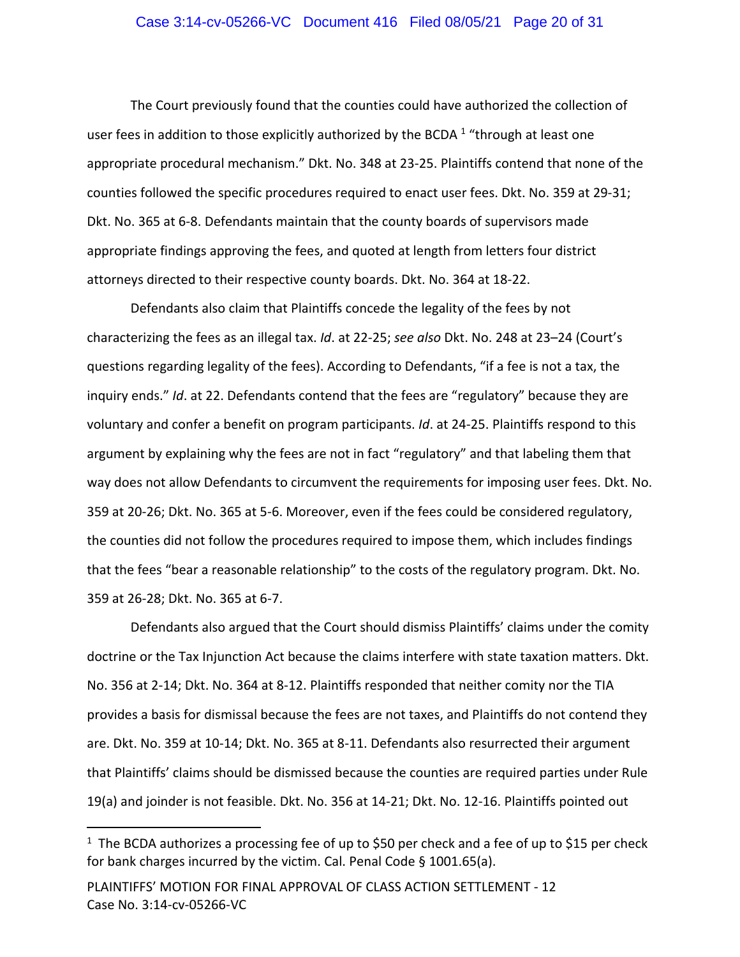## Case 3:14-cv-05266-VC Document 416 Filed 08/05/21 Page 20 of 31

The Court previously found that the counties could have authorized the collection of user fees in addition to those explicitly authorized by the BCDA  $1$  "through at least one appropriate procedural mechanism." Dkt. No. 348 at 23‐25. Plaintiffs contend that none of the counties followed the specific procedures required to enact user fees. Dkt. No. 359 at 29‐31; Dkt. No. 365 at 6‐8. Defendants maintain that the county boards of supervisors made appropriate findings approving the fees, and quoted at length from letters four district attorneys directed to their respective county boards. Dkt. No. 364 at 18‐22.

Defendants also claim that Plaintiffs concede the legality of the fees by not characterizing the fees as an illegal tax. *Id*. at 22‐25; *see also* Dkt. No. 248 at 23–24 (Court's questions regarding legality of the fees). According to Defendants, "if a fee is not a tax, the inquiry ends." *Id*. at 22. Defendants contend that the fees are "regulatory" because they are voluntary and confer a benefit on program participants. *Id*. at 24‐25. Plaintiffs respond to this argument by explaining why the fees are not in fact "regulatory" and that labeling them that way does not allow Defendants to circumvent the requirements for imposing user fees. Dkt. No. 359 at 20‐26; Dkt. No. 365 at 5‐6. Moreover, even if the fees could be considered regulatory, the counties did not follow the procedures required to impose them, which includes findings that the fees "bear a reasonable relationship" to the costs of the regulatory program. Dkt. No. 359 at 26‐28; Dkt. No. 365 at 6‐7.

Defendants also argued that the Court should dismiss Plaintiffs' claims under the comity doctrine or the Tax Injunction Act because the claims interfere with state taxation matters. Dkt. No. 356 at 2‐14; Dkt. No. 364 at 8‐12. Plaintiffs responded that neither comity nor the TIA provides a basis for dismissal because the fees are not taxes, and Plaintiffs do not contend they are. Dkt. No. 359 at 10‐14; Dkt. No. 365 at 8‐11. Defendants also resurrected their argument that Plaintiffs' claims should be dismissed because the counties are required parties under Rule 19(a) and joinder is not feasible. Dkt. No. 356 at 14‐21; Dkt. No. 12‐16. Plaintiffs pointed out

<sup>&</sup>lt;sup>1</sup> The BCDA authorizes a processing fee of up to \$50 per check and a fee of up to \$15 per check for bank charges incurred by the victim. Cal. Penal Code § 1001.65(a).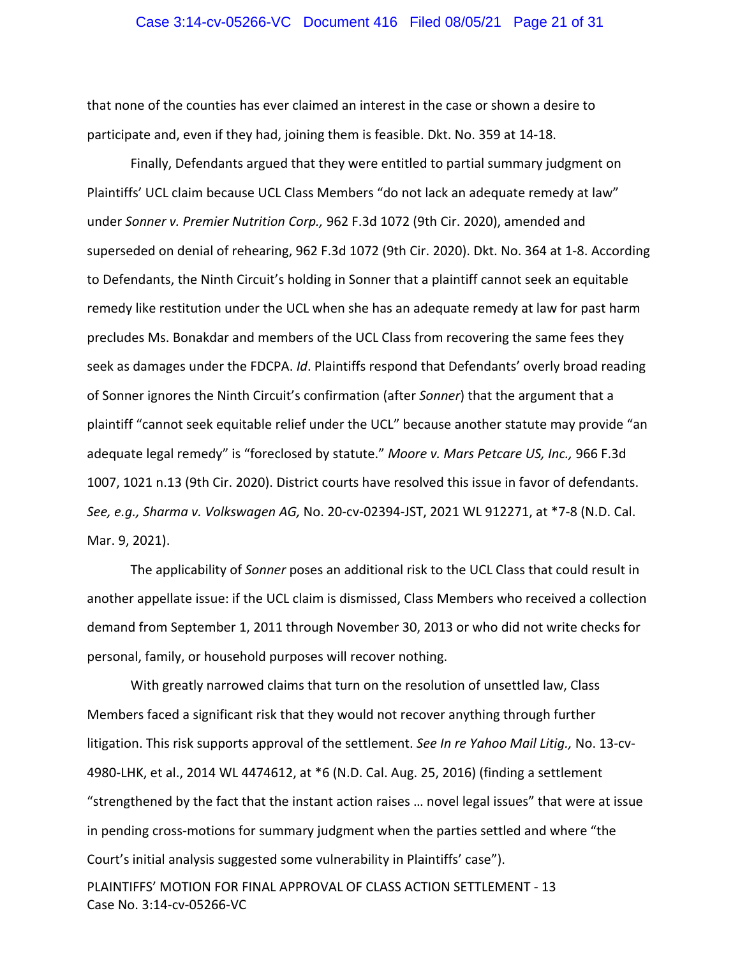## Case 3:14-cv-05266-VC Document 416 Filed 08/05/21 Page 21 of 31

that none of the counties has ever claimed an interest in the case or shown a desire to participate and, even if they had, joining them is feasible. Dkt. No. 359 at 14‐18.

Finally, Defendants argued that they were entitled to partial summary judgment on Plaintiffs' UCL claim because UCL Class Members "do not lack an adequate remedy at law" under *Sonner v. Premier Nutrition Corp.,* 962 F.3d 1072 (9th Cir. 2020), amended and superseded on denial of rehearing, 962 F.3d 1072 (9th Cir. 2020). Dkt. No. 364 at 1‐8. According to Defendants, the Ninth Circuit's holding in Sonner that a plaintiff cannot seek an equitable remedy like restitution under the UCL when she has an adequate remedy at law for past harm precludes Ms. Bonakdar and members of the UCL Class from recovering the same fees they seek as damages under the FDCPA. *Id*. Plaintiffs respond that Defendants' overly broad reading of Sonner ignores the Ninth Circuit's confirmation (after *Sonner*) that the argument that a plaintiff "cannot seek equitable relief under the UCL" because another statute may provide "an adequate legal remedy" is "foreclosed by statute." *Moore v. Mars Petcare US, Inc.,* 966 F.3d 1007, 1021 n.13 (9th Cir. 2020). District courts have resolved this issue in favor of defendants. *See, e.g., Sharma v. Volkswagen AG,* No. 20‐cv‐02394‐JST, 2021 WL 912271, at \*7‐8 (N.D. Cal. Mar. 9, 2021).

The applicability of *Sonner* poses an additional risk to the UCL Class that could result in another appellate issue: if the UCL claim is dismissed, Class Members who received a collection demand from September 1, 2011 through November 30, 2013 or who did not write checks for personal, family, or household purposes will recover nothing.

With greatly narrowed claims that turn on the resolution of unsettled law, Class Members faced a significant risk that they would not recover anything through further litigation. This risk supports approval of the settlement. *See In re Yahoo Mail Litig.,* No. 13‐cv‐ 4980‐LHK, et al., 2014 WL 4474612, at \*6 (N.D. Cal. Aug. 25, 2016) (finding a settlement "strengthened by the fact that the instant action raises … novel legal issues" that were at issue in pending cross‐motions for summary judgment when the parties settled and where "the Court's initial analysis suggested some vulnerability in Plaintiffs' case").

PLAINTIFFS' MOTION FOR FINAL APPROVAL OF CLASS ACTION SETTLEMENT ‐ 13 Case No. 3:14‐cv‐05266‐VC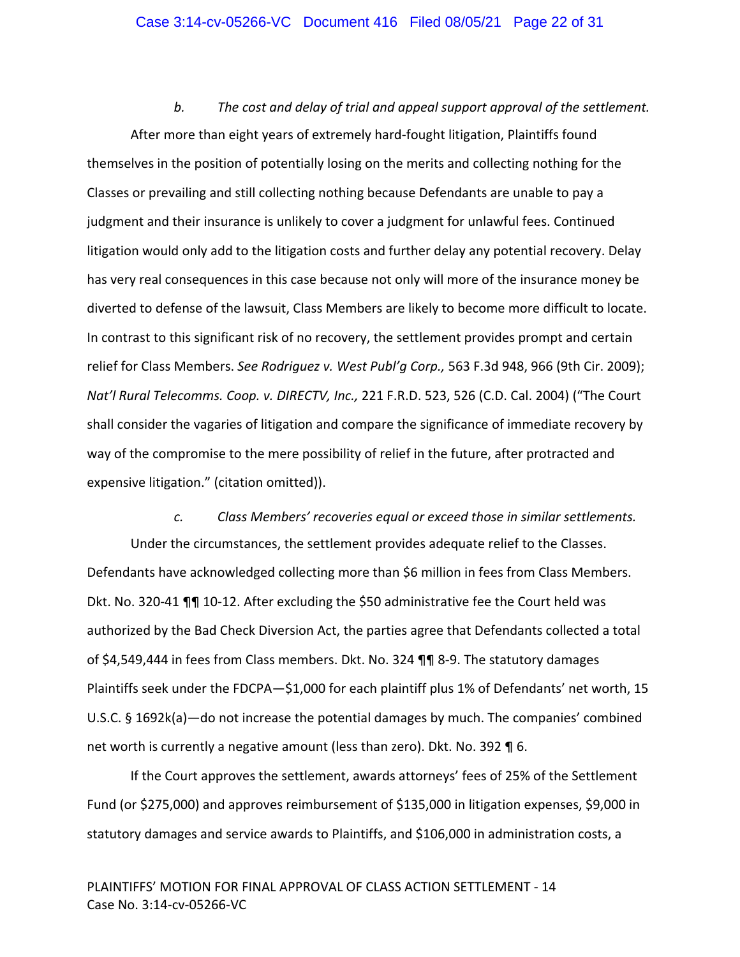## Case 3:14-cv-05266-VC Document 416 Filed 08/05/21 Page 22 of 31

*b. The cost and delay of trial and appeal support approval of the settlement.* After more than eight years of extremely hard‐fought litigation, Plaintiffs found themselves in the position of potentially losing on the merits and collecting nothing for the Classes or prevailing and still collecting nothing because Defendants are unable to pay a judgment and their insurance is unlikely to cover a judgment for unlawful fees. Continued litigation would only add to the litigation costs and further delay any potential recovery. Delay has very real consequences in this case because not only will more of the insurance money be diverted to defense of the lawsuit, Class Members are likely to become more difficult to locate. In contrast to this significant risk of no recovery, the settlement provides prompt and certain relief for Class Members. *See Rodriguez v. West Publ'g Corp.,* 563 F.3d 948, 966 (9th Cir. 2009); *Nat'l Rural Telecomms. Coop. v. DIRECTV, Inc.,* 221 F.R.D. 523, 526 (C.D. Cal. 2004) ("The Court shall consider the vagaries of litigation and compare the significance of immediate recovery by way of the compromise to the mere possibility of relief in the future, after protracted and expensive litigation." (citation omitted)).

*c. Class Members' recoveries equal or exceed those in similar settlements.* Under the circumstances, the settlement provides adequate relief to the Classes. Defendants have acknowledged collecting more than \$6 million in fees from Class Members. Dkt. No. 320‐41 ¶¶ 10‐12. After excluding the \$50 administrative fee the Court held was authorized by the Bad Check Diversion Act, the parties agree that Defendants collected a total of \$4,549,444 in fees from Class members. Dkt. No. 324 ¶¶ 8‐9. The statutory damages Plaintiffs seek under the FDCPA—\$1,000 for each plaintiff plus 1% of Defendants' net worth, 15 U.S.C. § 1692k(a)—do not increase the potential damages by much. The companies' combined net worth is currently a negative amount (less than zero). Dkt. No. 392 ¶ 6.

If the Court approves the settlement, awards attorneys' fees of 25% of the Settlement Fund (or \$275,000) and approves reimbursement of \$135,000 in litigation expenses, \$9,000 in statutory damages and service awards to Plaintiffs, and \$106,000 in administration costs, a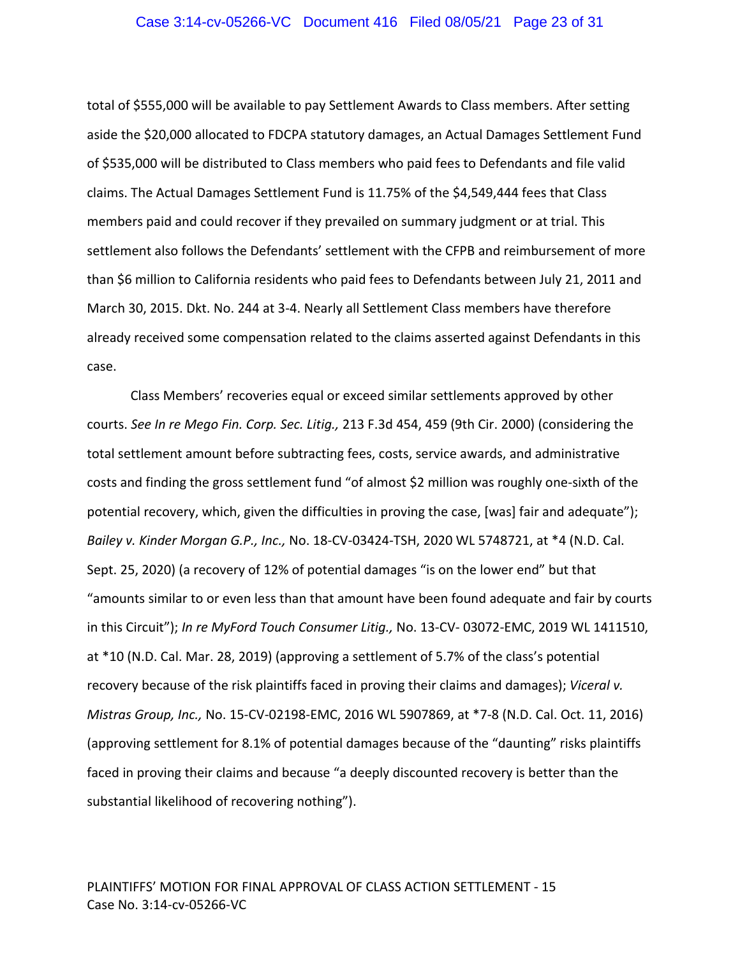## Case 3:14-cv-05266-VC Document 416 Filed 08/05/21 Page 23 of 31

total of \$555,000 will be available to pay Settlement Awards to Class members. After setting aside the \$20,000 allocated to FDCPA statutory damages, an Actual Damages Settlement Fund of \$535,000 will be distributed to Class members who paid fees to Defendants and file valid claims. The Actual Damages Settlement Fund is 11.75% of the \$4,549,444 fees that Class members paid and could recover if they prevailed on summary judgment or at trial. This settlement also follows the Defendants' settlement with the CFPB and reimbursement of more than \$6 million to California residents who paid fees to Defendants between July 21, 2011 and March 30, 2015. Dkt. No. 244 at 3‐4. Nearly all Settlement Class members have therefore already received some compensation related to the claims asserted against Defendants in this case.

Class Members' recoveries equal or exceed similar settlements approved by other courts. *See In re Mego Fin. Corp. Sec. Litig.,* 213 F.3d 454, 459 (9th Cir. 2000) (considering the total settlement amount before subtracting fees, costs, service awards, and administrative costs and finding the gross settlement fund "of almost \$2 million was roughly one‐sixth of the potential recovery, which, given the difficulties in proving the case, [was] fair and adequate"); *Bailey v. Kinder Morgan G.P., Inc.,* No. 18‐CV‐03424‐TSH, 2020 WL 5748721, at \*4 (N.D. Cal. Sept. 25, 2020) (a recovery of 12% of potential damages "is on the lower end" but that "amounts similar to or even less than that amount have been found adequate and fair by courts in this Circuit"); *In re MyFord Touch Consumer Litig.,* No. 13‐CV‐ 03072‐EMC, 2019 WL 1411510, at \*10 (N.D. Cal. Mar. 28, 2019) (approving a settlement of 5.7% of the class's potential recovery because of the risk plaintiffs faced in proving their claims and damages); *Viceral v. Mistras Group, Inc.,* No. 15‐CV‐02198‐EMC, 2016 WL 5907869, at \*7‐8 (N.D. Cal. Oct. 11, 2016) (approving settlement for 8.1% of potential damages because of the "daunting" risks plaintiffs faced in proving their claims and because "a deeply discounted recovery is better than the substantial likelihood of recovering nothing").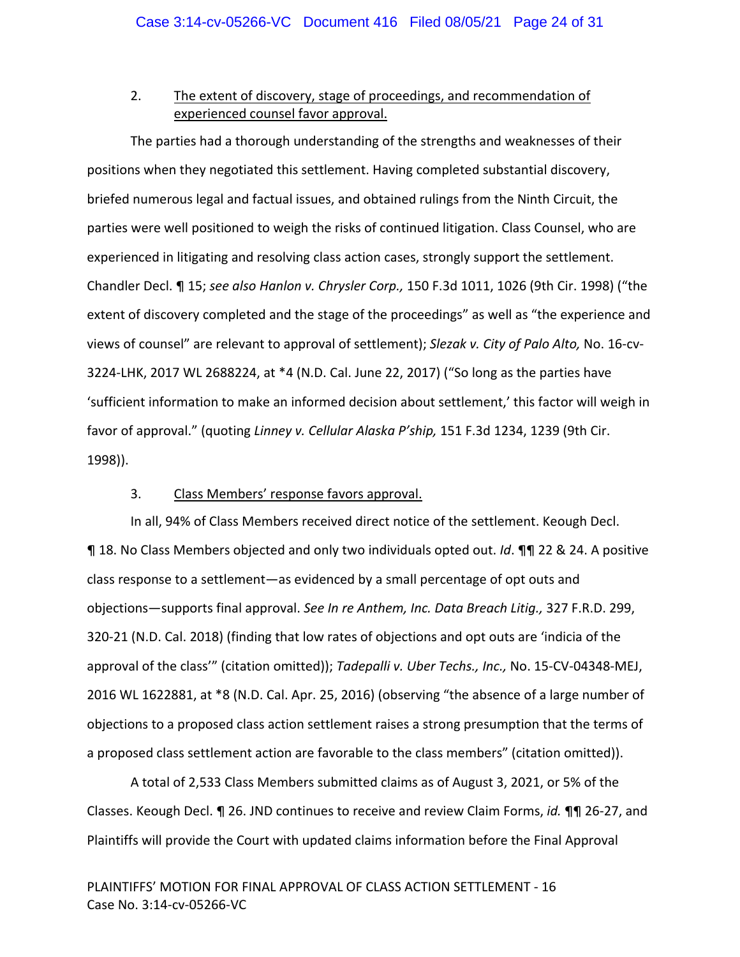# 2. The extent of discovery, stage of proceedings, and recommendation of experienced counsel favor approval.

The parties had a thorough understanding of the strengths and weaknesses of their positions when they negotiated this settlement. Having completed substantial discovery, briefed numerous legal and factual issues, and obtained rulings from the Ninth Circuit, the parties were well positioned to weigh the risks of continued litigation. Class Counsel, who are experienced in litigating and resolving class action cases, strongly support the settlement. Chandler Decl. ¶ 15; *see also Hanlon v. Chrysler Corp.,* 150 F.3d 1011, 1026 (9th Cir. 1998) ("the extent of discovery completed and the stage of the proceedings" as well as "the experience and views of counsel" are relevant to approval of settlement); *Slezak v. City of Palo Alto,* No. 16‐cv‐ 3224‐LHK, 2017 WL 2688224, at \*4 (N.D. Cal. June 22, 2017) ("So long as the parties have 'sufficient information to make an informed decision about settlement,' this factor will weigh in favor of approval." (quoting *Linney v. Cellular Alaska P'ship,* 151 F.3d 1234, 1239 (9th Cir. 1998)).

# 3. Class Members' response favors approval.

In all, 94% of Class Members received direct notice of the settlement. Keough Decl. ¶ 18. No Class Members objected and only two individuals opted out. *Id*. ¶¶ 22 & 24. A positive class response to a settlement—as evidenced by a small percentage of opt outs and objections—supports final approval. *See In re Anthem, Inc. Data Breach Litig.,* 327 F.R.D. 299, 320‐21 (N.D. Cal. 2018) (finding that low rates of objections and opt outs are 'indicia of the approval of the class'" (citation omitted)); *Tadepalli v. Uber Techs., Inc.,* No. 15‐CV‐04348‐MEJ, 2016 WL 1622881, at \*8 (N.D. Cal. Apr. 25, 2016) (observing "the absence of a large number of objections to a proposed class action settlement raises a strong presumption that the terms of a proposed class settlement action are favorable to the class members" (citation omitted)).

A total of 2,533 Class Members submitted claims as of August 3, 2021, or 5% of the Classes. Keough Decl. ¶ 26. JND continues to receive and review Claim Forms, *id.* ¶¶ 26‐27, and Plaintiffs will provide the Court with updated claims information before the Final Approval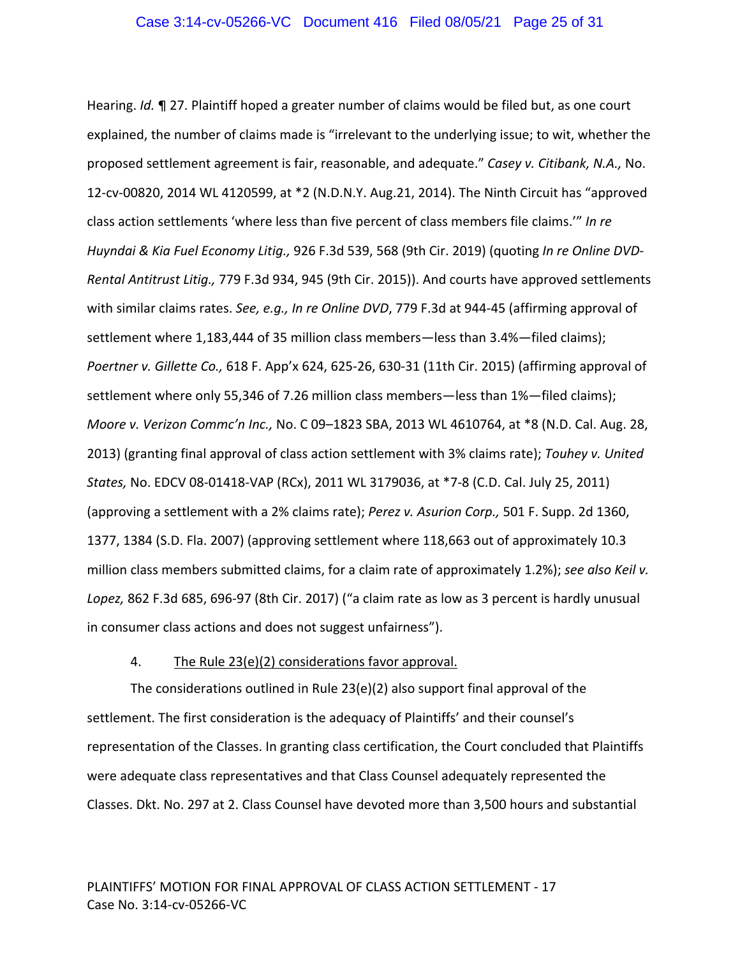Hearing. *Id.* ¶ 27. Plaintiff hoped a greater number of claims would be filed but, as one court explained, the number of claims made is "irrelevant to the underlying issue; to wit, whether the proposed settlement agreement is fair, reasonable, and adequate." *Casey v. Citibank, N.A.,* No. 12‐cv‐00820, 2014 WL 4120599, at \*2 (N.D.N.Y. Aug.21, 2014). The Ninth Circuit has "approved class action settlements 'where less than five percent of class members file claims.'" *In re Huyndai & Kia Fuel Economy Litig.,* 926 F.3d 539, 568 (9th Cir. 2019) (quoting *In re Online DVD‐ Rental Antitrust Litig.,* 779 F.3d 934, 945 (9th Cir. 2015)). And courts have approved settlements with similar claims rates. *See, e.g., In re Online DVD*, 779 F.3d at 944‐45 (affirming approval of settlement where 1,183,444 of 35 million class members—less than 3.4%—filed claims); *Poertner v. Gillette Co.,* 618 F. App'x 624, 625‐26, 630‐31 (11th Cir. 2015) (affirming approval of settlement where only 55,346 of 7.26 million class members—less than 1%—filed claims); *Moore v. Verizon Commc'n Inc.,* No. C 09–1823 SBA, 2013 WL 4610764, at \*8 (N.D. Cal. Aug. 28, 2013) (granting final approval of class action settlement with 3% claims rate); *Touhey v. United States,* No. EDCV 08‐01418‐VAP (RCx), 2011 WL 3179036, at \*7‐8 (C.D. Cal. July 25, 2011) (approving a settlement with a 2% claims rate); *Perez v. Asurion Corp.,* 501 F. Supp. 2d 1360, 1377, 1384 (S.D. Fla. 2007) (approving settlement where 118,663 out of approximately 10.3 million class members submitted claims, for a claim rate of approximately 1.2%); *see also Keil v. Lopez,* 862 F.3d 685, 696‐97 (8th Cir. 2017) ("a claim rate as low as 3 percent is hardly unusual in consumer class actions and does not suggest unfairness").

# 4. The Rule 23(e)(2) considerations favor approval.

The considerations outlined in Rule 23(e)(2) also support final approval of the settlement. The first consideration is the adequacy of Plaintiffs' and their counsel's representation of the Classes. In granting class certification, the Court concluded that Plaintiffs were adequate class representatives and that Class Counsel adequately represented the Classes. Dkt. No. 297 at 2. Class Counsel have devoted more than 3,500 hours and substantial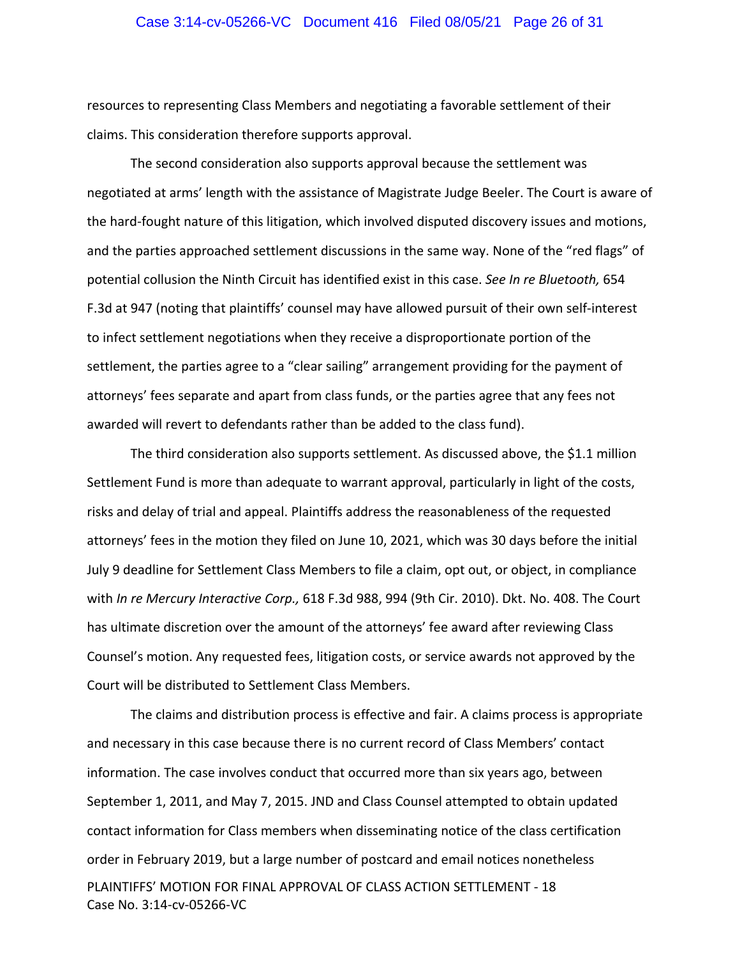## Case 3:14-cv-05266-VC Document 416 Filed 08/05/21 Page 26 of 31

resources to representing Class Members and negotiating a favorable settlement of their claims. This consideration therefore supports approval.

The second consideration also supports approval because the settlement was negotiated at arms' length with the assistance of Magistrate Judge Beeler. The Court is aware of the hard‐fought nature of this litigation, which involved disputed discovery issues and motions, and the parties approached settlement discussions in the same way. None of the "red flags" of potential collusion the Ninth Circuit has identified exist in this case. *See In re Bluetooth,* 654 F.3d at 947 (noting that plaintiffs' counsel may have allowed pursuit of their own self‐interest to infect settlement negotiations when they receive a disproportionate portion of the settlement, the parties agree to a "clear sailing" arrangement providing for the payment of attorneys' fees separate and apart from class funds, or the parties agree that any fees not awarded will revert to defendants rather than be added to the class fund).

The third consideration also supports settlement. As discussed above, the \$1.1 million Settlement Fund is more than adequate to warrant approval, particularly in light of the costs, risks and delay of trial and appeal. Plaintiffs address the reasonableness of the requested attorneys' fees in the motion they filed on June 10, 2021, which was 30 days before the initial July 9 deadline for Settlement Class Members to file a claim, opt out, or object, in compliance with *In re Mercury Interactive Corp.,* 618 F.3d 988, 994 (9th Cir. 2010). Dkt. No. 408. The Court has ultimate discretion over the amount of the attorneys' fee award after reviewing Class Counsel's motion. Any requested fees, litigation costs, or service awards not approved by the Court will be distributed to Settlement Class Members.

PLAINTIFFS' MOTION FOR FINAL APPROVAL OF CLASS ACTION SETTLEMENT ‐ 18 Case No. 3:14‐cv‐05266‐VC The claims and distribution process is effective and fair. A claims process is appropriate and necessary in this case because there is no current record of Class Members' contact information. The case involves conduct that occurred more than six years ago, between September 1, 2011, and May 7, 2015. JND and Class Counsel attempted to obtain updated contact information for Class members when disseminating notice of the class certification order in February 2019, but a large number of postcard and email notices nonetheless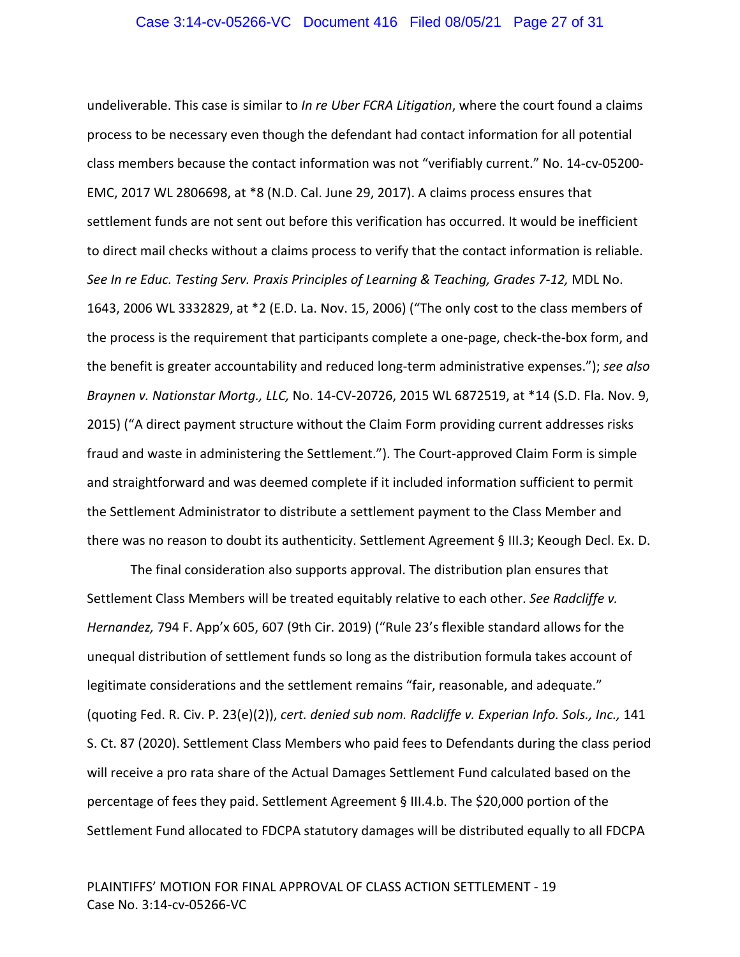undeliverable. This case is similar to *In re Uber FCRA Litigation*, where the court found a claims process to be necessary even though the defendant had contact information for all potential class members because the contact information was not "verifiably current." No. 14‐cv‐05200‐ EMC, 2017 WL 2806698, at \*8 (N.D. Cal. June 29, 2017). A claims process ensures that settlement funds are not sent out before this verification has occurred. It would be inefficient to direct mail checks without a claims process to verify that the contact information is reliable. *See In re Educ. Testing Serv. Praxis Principles of Learning & Teaching, Grades 7‐12,* MDL No. 1643, 2006 WL 3332829, at \*2 (E.D. La. Nov. 15, 2006) ("The only cost to the class members of the process is the requirement that participants complete a one‐page, check‐the‐box form, and the benefit is greater accountability and reduced long‐term administrative expenses."); *see also Braynen v. Nationstar Mortg., LLC,* No. 14‐CV‐20726, 2015 WL 6872519, at \*14 (S.D. Fla. Nov. 9, 2015) ("A direct payment structure without the Claim Form providing current addresses risks fraud and waste in administering the Settlement."). The Court-approved Claim Form is simple and straightforward and was deemed complete if it included information sufficient to permit the Settlement Administrator to distribute a settlement payment to the Class Member and there was no reason to doubt its authenticity. Settlement Agreement § III.3; Keough Decl. Ex. D.

The final consideration also supports approval. The distribution plan ensures that Settlement Class Members will be treated equitably relative to each other. *See Radcliffe v. Hernandez,* 794 F. App'x 605, 607 (9th Cir. 2019) ("Rule 23's flexible standard allows for the unequal distribution of settlement funds so long as the distribution formula takes account of legitimate considerations and the settlement remains "fair, reasonable, and adequate." (quoting Fed. R. Civ. P. 23(e)(2)), *cert. denied sub nom. Radcliffe v. Experian Info. Sols., Inc.,* 141 S. Ct. 87 (2020). Settlement Class Members who paid fees to Defendants during the class period will receive a pro rata share of the Actual Damages Settlement Fund calculated based on the percentage of fees they paid. Settlement Agreement § III.4.b. The \$20,000 portion of the Settlement Fund allocated to FDCPA statutory damages will be distributed equally to all FDCPA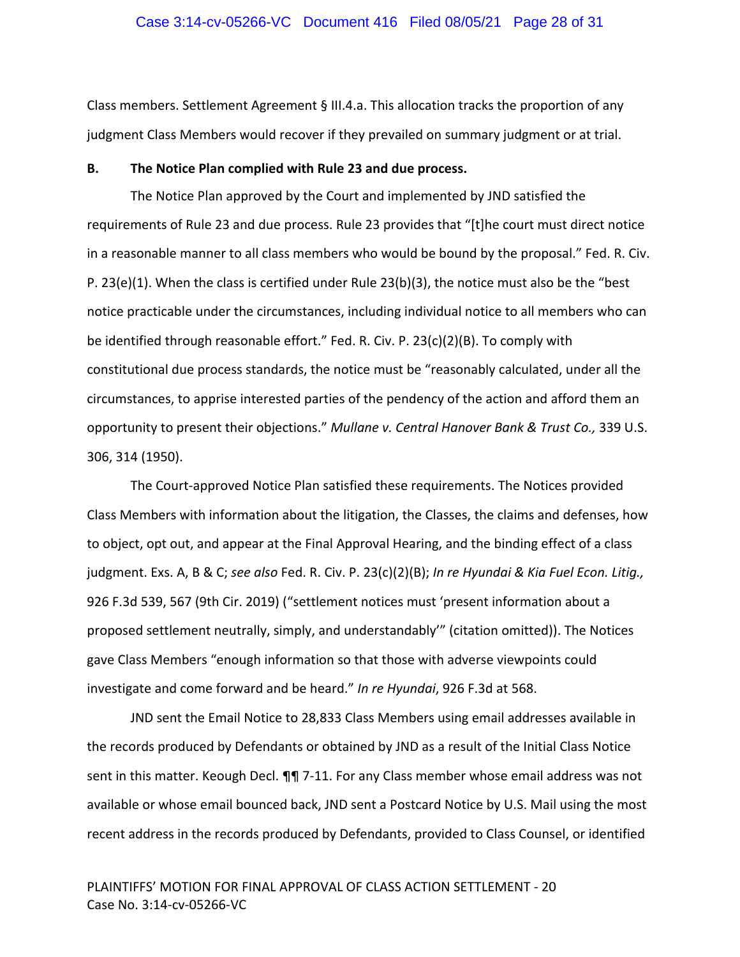## Case 3:14-cv-05266-VC Document 416 Filed 08/05/21 Page 28 of 31

Class members. Settlement Agreement § III.4.a. This allocation tracks the proportion of any judgment Class Members would recover if they prevailed on summary judgment or at trial.

## **B. The Notice Plan complied with Rule 23 and due process.**

The Notice Plan approved by the Court and implemented by JND satisfied the requirements of Rule 23 and due process. Rule 23 provides that "[t]he court must direct notice in a reasonable manner to all class members who would be bound by the proposal." Fed. R. Civ. P. 23(e)(1). When the class is certified under Rule 23(b)(3), the notice must also be the "best notice practicable under the circumstances, including individual notice to all members who can be identified through reasonable effort." Fed. R. Civ. P. 23(c)(2)(B). To comply with constitutional due process standards, the notice must be "reasonably calculated, under all the circumstances, to apprise interested parties of the pendency of the action and afford them an opportunity to present their objections." *Mullane v. Central Hanover Bank & Trust Co.,* 339 U.S. 306, 314 (1950).

The Court‐approved Notice Plan satisfied these requirements. The Notices provided Class Members with information about the litigation, the Classes, the claims and defenses, how to object, opt out, and appear at the Final Approval Hearing, and the binding effect of a class judgment. Exs. A, B & C; *see also* Fed. R. Civ. P. 23(c)(2)(B); *In re Hyundai & Kia Fuel Econ. Litig.,* 926 F.3d 539, 567 (9th Cir. 2019) ("settlement notices must 'present information about a proposed settlement neutrally, simply, and understandably'" (citation omitted)). The Notices gave Class Members "enough information so that those with adverse viewpoints could investigate and come forward and be heard." *In re Hyundai*, 926 F.3d at 568.

JND sent the Email Notice to 28,833 Class Members using email addresses available in the records produced by Defendants or obtained by JND as a result of the Initial Class Notice sent in this matter. Keough Decl. ¶¶ 7‐11. For any Class member whose email address was not available or whose email bounced back, JND sent a Postcard Notice by U.S. Mail using the most recent address in the records produced by Defendants, provided to Class Counsel, or identified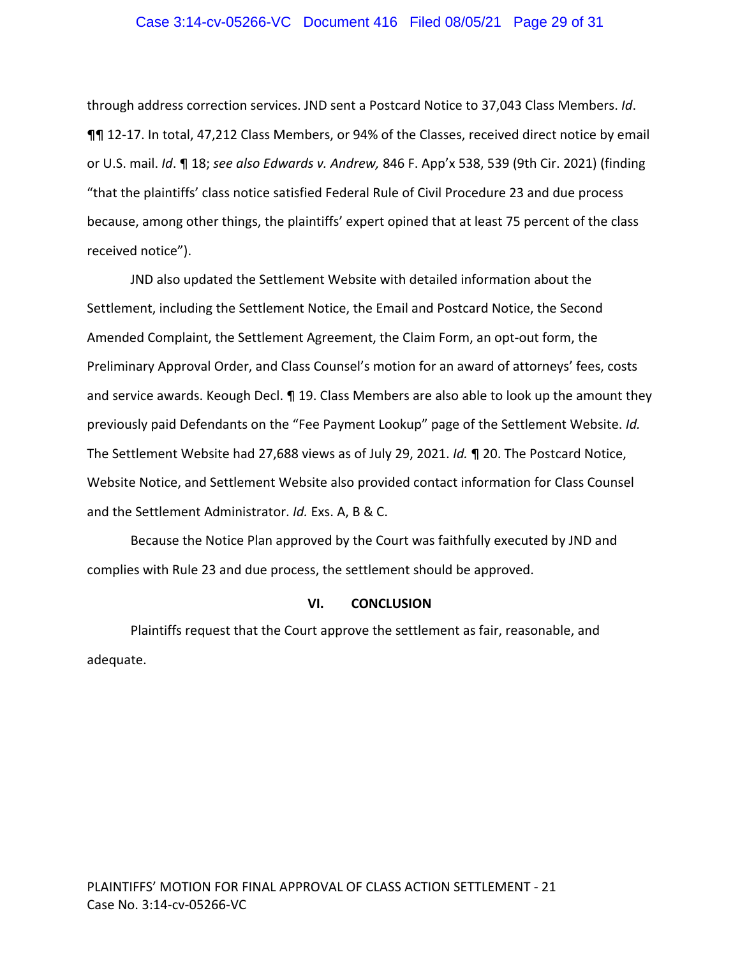## Case 3:14-cv-05266-VC Document 416 Filed 08/05/21 Page 29 of 31

through address correction services. JND sent a Postcard Notice to 37,043 Class Members. *Id*. ¶¶ 12‐17. In total, 47,212 Class Members, or 94% of the Classes, received direct notice by email or U.S. mail. *Id*. ¶ 18; *see also Edwards v. Andrew,* 846 F. App'x 538, 539 (9th Cir. 2021) (finding "that the plaintiffs' class notice satisfied Federal Rule of Civil Procedure 23 and due process because, among other things, the plaintiffs' expert opined that at least 75 percent of the class received notice").

JND also updated the Settlement Website with detailed information about the Settlement, including the Settlement Notice, the Email and Postcard Notice, the Second Amended Complaint, the Settlement Agreement, the Claim Form, an opt‐out form, the Preliminary Approval Order, and Class Counsel's motion for an award of attorneys' fees, costs and service awards. Keough Decl. ¶ 19. Class Members are also able to look up the amount they previously paid Defendants on the "Fee Payment Lookup" page of the Settlement Website. *Id.* The Settlement Website had 27,688 views as of July 29, 2021. *Id.* ¶ 20. The Postcard Notice, Website Notice, and Settlement Website also provided contact information for Class Counsel and the Settlement Administrator. *Id.* Exs. A, B & C.

Because the Notice Plan approved by the Court was faithfully executed by JND and complies with Rule 23 and due process, the settlement should be approved.

#### **VI. CONCLUSION**

Plaintiffs request that the Court approve the settlement as fair, reasonable, and adequate.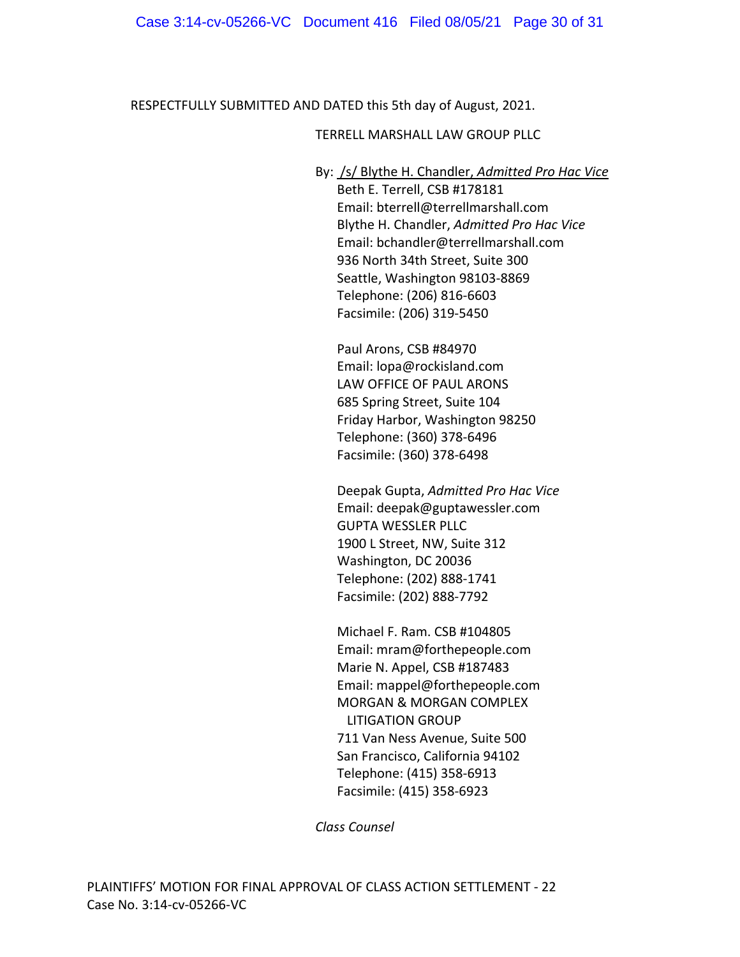RESPECTFULLY SUBMITTED AND DATED this 5th day of August, 2021.

# TERRELL MARSHALL LAW GROUP PLLC

By: /s/ Blythe H. Chandler, *Admitted Pro Hac Vice* Beth E. Terrell, CSB #178181 Email: bterrell@terrellmarshall.com Blythe H. Chandler, *Admitted Pro Hac Vice* Email: bchandler@terrellmarshall.com 936 North 34th Street, Suite 300 Seattle, Washington 98103‐8869 Telephone: (206) 816‐6603 Facsimile: (206) 319‐5450

Paul Arons, CSB #84970 Email: lopa@rockisland.com LAW OFFICE OF PAUL ARONS 685 Spring Street, Suite 104 Friday Harbor, Washington 98250 Telephone: (360) 378‐6496 Facsimile: (360) 378‐6498

Deepak Gupta, *Admitted Pro Hac Vice* Email: deepak@guptawessler.com GUPTA WESSLER PLLC 1900 L Street, NW, Suite 312 Washington, DC 20036 Telephone: (202) 888‐1741 Facsimile: (202) 888‐7792

Michael F. Ram. CSB #104805 Email: mram@forthepeople.com Marie N. Appel, CSB #187483 Email: mappel@forthepeople.com MORGAN & MORGAN COMPLEX LITIGATION GROUP 711 Van Ness Avenue, Suite 500 San Francisco, California 94102 Telephone: (415) 358‐6913 Facsimile: (415) 358‐6923

*Class Counsel*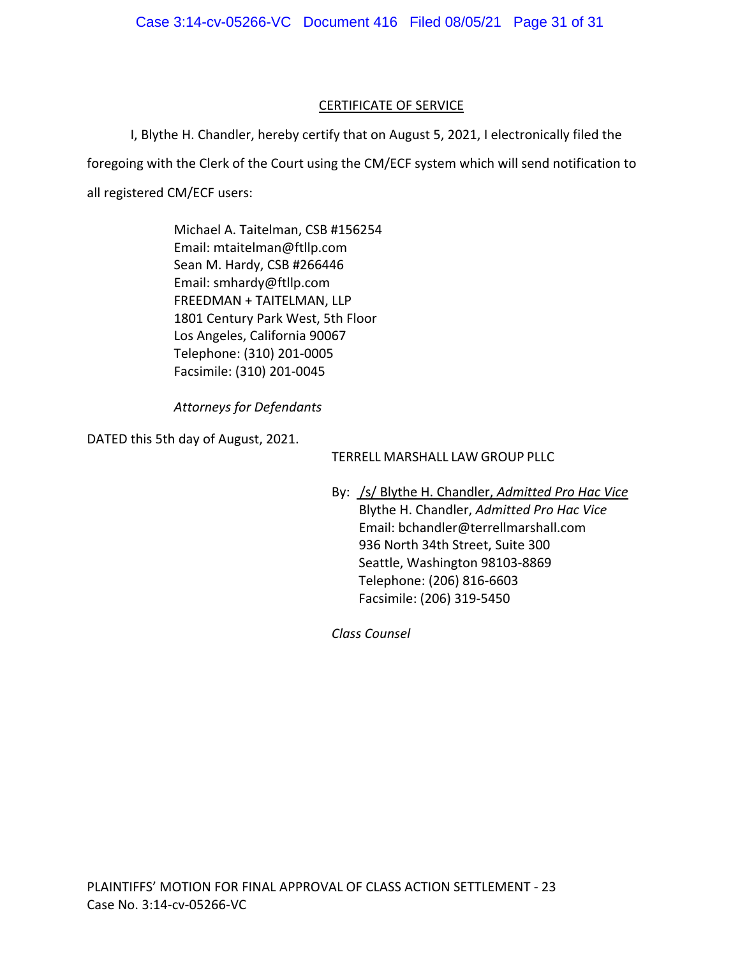# CERTIFICATE OF SERVICE

I, Blythe H. Chandler, hereby certify that on August 5, 2021, I electronically filed the foregoing with the Clerk of the Court using the CM/ECF system which will send notification to all registered CM/ECF users:

> Michael A. Taitelman, CSB #156254 Email: mtaitelman@ftllp.com Sean M. Hardy, CSB #266446 Email: smhardy@ftllp.com FREEDMAN + TAITELMAN, LLP 1801 Century Park West, 5th Floor Los Angeles, California 90067 Telephone: (310) 201‐0005 Facsimile: (310) 201‐0045

*Attorneys for Defendants*

DATED this 5th day of August, 2021.

TERRELL MARSHALL LAW GROUP PLLC

By: /s/ Blythe H. Chandler, *Admitted Pro Hac Vice* Blythe H. Chandler, *Admitted Pro Hac Vice* Email: bchandler@terrellmarshall.com 936 North 34th Street, Suite 300 Seattle, Washington 98103‐8869 Telephone: (206) 816‐6603 Facsimile: (206) 319‐5450

*Class Counsel*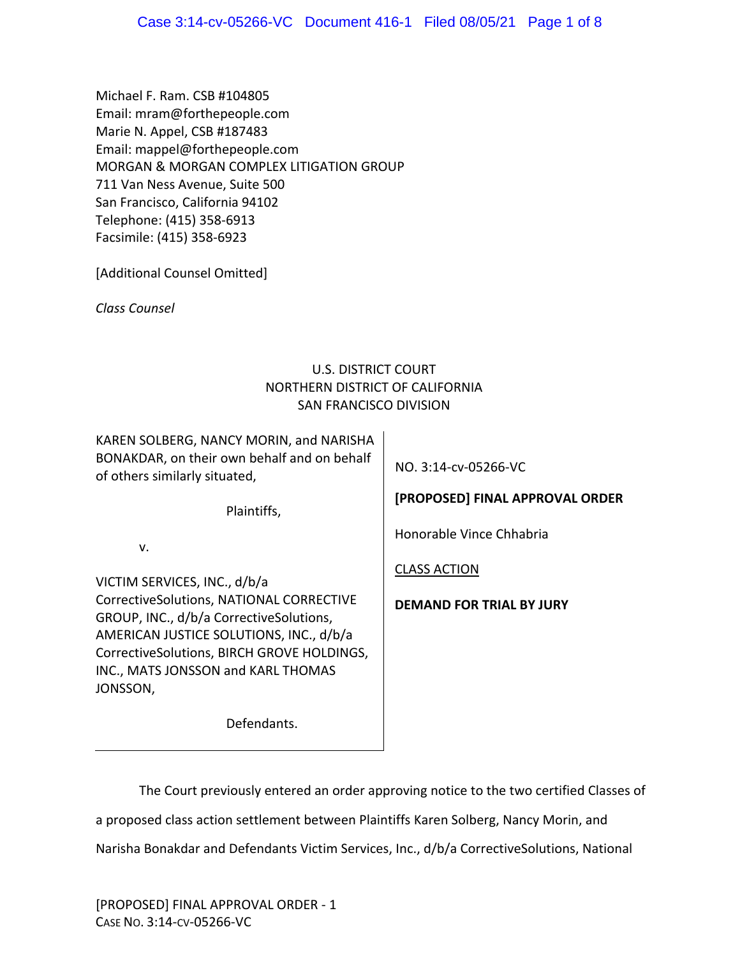Michael F. Ram. CSB #104805 Email: mram@forthepeople.com Marie N. Appel, CSB #187483 Email: mappel@forthepeople.com MORGAN & MORGAN COMPLEX LITIGATION GROUP 711 Van Ness Avenue, Suite 500 San Francisco, California 94102 Telephone: (415) 358‐6913 Facsimile: (415) 358‐6923

[Additional Counsel Omitted]

*Class Counsel*

# U.S. DISTRICT COURT NORTHERN DISTRICT OF CALIFORNIA SAN FRANCISCO DIVISION

KAREN SOLBERG, NANCY MORIN, and NARISHA BONAKDAR, on their own behalf and on behalf of others similarly situated,

Plaintiffs,

Defendants.

v.

VICTIM SERVICES, INC., d/b/a CorrectiveSolutions, NATIONAL CORRECTIVE GROUP, INC., d/b/a CorrectiveSolutions, AMERICAN JUSTICE SOLUTIONS, INC., d/b/a CorrectiveSolutions, BIRCH GROVE HOLDINGS, INC., MATS JONSSON and KARL THOMAS JONSSON,

NO. 3:14‐cv‐05266‐VC

**[PROPOSED] FINAL APPROVAL ORDER** 

Honorable Vince Chhabria

CLASS ACTION

**DEMAND FOR TRIAL BY JURY**

The Court previously entered an order approving notice to the two certified Classes of a proposed class action settlement between Plaintiffs Karen Solberg, Nancy Morin, and Narisha Bonakdar and Defendants Victim Services, Inc., d/b/a CorrectiveSolutions, National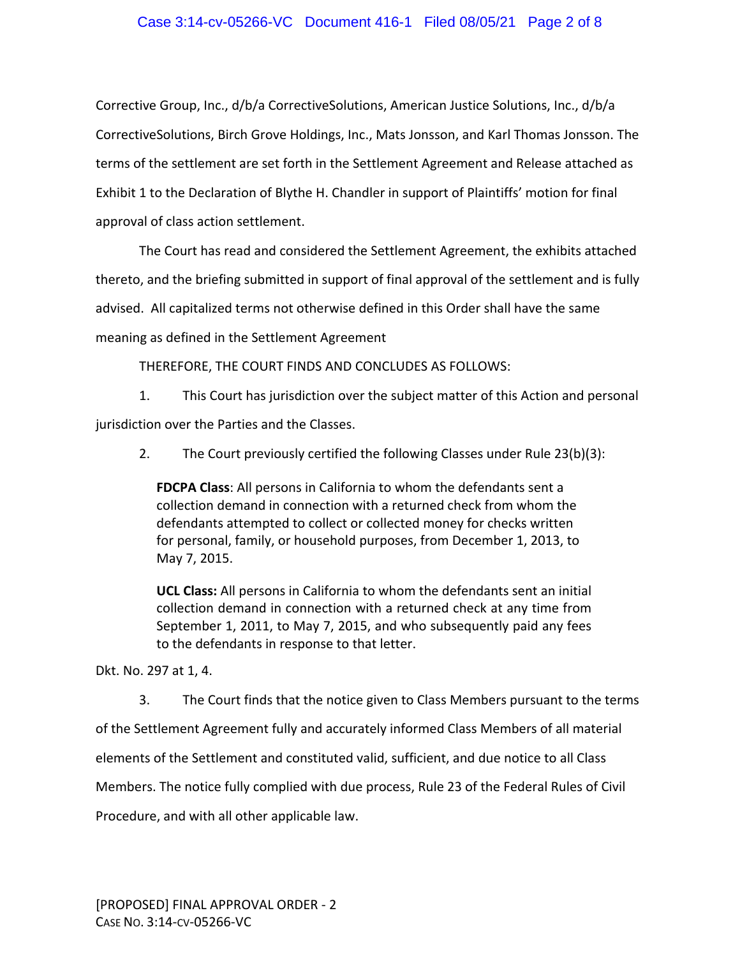Corrective Group, Inc., d/b/a CorrectiveSolutions, American Justice Solutions, Inc., d/b/a CorrectiveSolutions, Birch Grove Holdings, Inc., Mats Jonsson, and Karl Thomas Jonsson. The terms of the settlement are set forth in the Settlement Agreement and Release attached as Exhibit 1 to the Declaration of Blythe H. Chandler in support of Plaintiffs' motion for final approval of class action settlement.

The Court has read and considered the Settlement Agreement, the exhibits attached thereto, and the briefing submitted in support of final approval of the settlement and is fully advised. All capitalized terms not otherwise defined in this Order shall have the same meaning as defined in the Settlement Agreement

THEREFORE, THE COURT FINDS AND CONCLUDES AS FOLLOWS:

1. This Court has jurisdiction over the subject matter of this Action and personal jurisdiction over the Parties and the Classes.

2. The Court previously certified the following Classes under Rule 23(b)(3):

**FDCPA Class**: All persons in California to whom the defendants sent a collection demand in connection with a returned check from whom the defendants attempted to collect or collected money for checks written for personal, family, or household purposes, from December 1, 2013, to May 7, 2015.

**UCL Class:** All persons in California to whom the defendants sent an initial collection demand in connection with a returned check at any time from September 1, 2011, to May 7, 2015, and who subsequently paid any fees to the defendants in response to that letter.

Dkt. No. 297 at 1, 4.

3. The Court finds that the notice given to Class Members pursuant to the terms of the Settlement Agreement fully and accurately informed Class Members of all material elements of the Settlement and constituted valid, sufficient, and due notice to all Class Members. The notice fully complied with due process, Rule 23 of the Federal Rules of Civil Procedure, and with all other applicable law.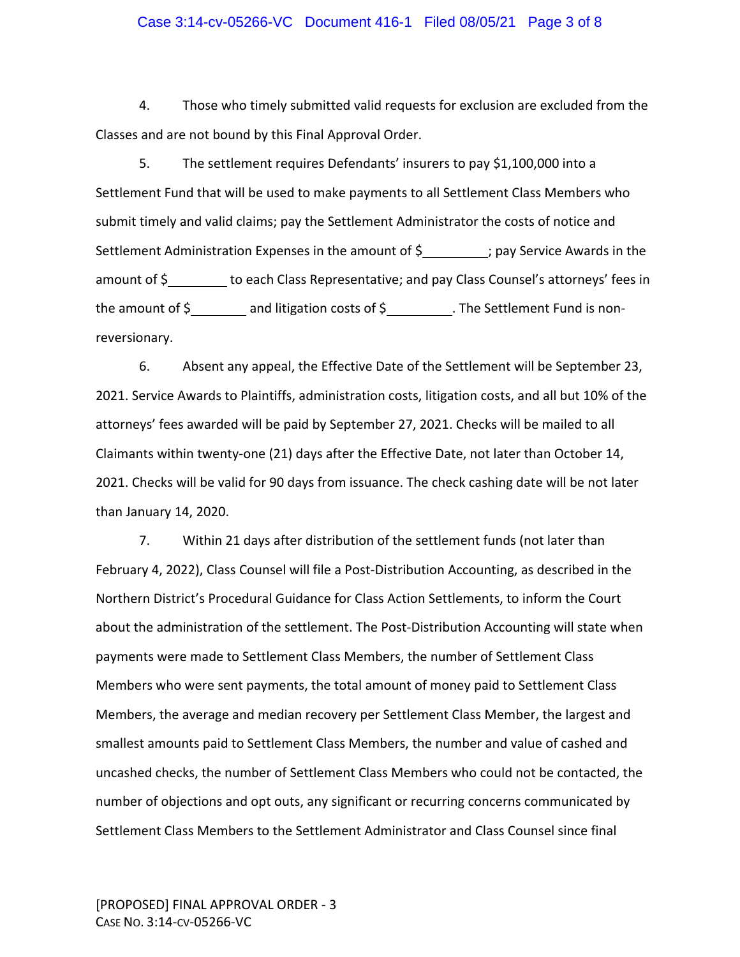## Case 3:14-cv-05266-VC Document 416-1 Filed 08/05/21 Page 3 of 8

4. Those who timely submitted valid requests for exclusion are excluded from the Classes and are not bound by this Final Approval Order.

5. The settlement requires Defendants' insurers to pay \$1,100,000 into a Settlement Fund that will be used to make payments to all Settlement Class Members who submit timely and valid claims; pay the Settlement Administrator the costs of notice and Settlement Administration Expenses in the amount of  $\frac{1}{2}$  pay Service Awards in the amount of \$ to each Class Representative; and pay Class Counsel's attorneys' fees in the amount of \$ and litigation costs of \$ . The Settlement Fund is non‐ reversionary.

6. Absent any appeal, the Effective Date of the Settlement will be September 23, 2021. Service Awards to Plaintiffs, administration costs, litigation costs, and all but 10% of the attorneys' fees awarded will be paid by September 27, 2021. Checks will be mailed to all Claimants within twenty‐one (21) days after the Effective Date, not later than October 14, 2021. Checks will be valid for 90 days from issuance. The check cashing date will be not later than January 14, 2020.

7. Within 21 days after distribution of the settlement funds (not later than February 4, 2022), Class Counsel will file a Post‐Distribution Accounting, as described in the Northern District's Procedural Guidance for Class Action Settlements, to inform the Court about the administration of the settlement. The Post‐Distribution Accounting will state when payments were made to Settlement Class Members, the number of Settlement Class Members who were sent payments, the total amount of money paid to Settlement Class Members, the average and median recovery per Settlement Class Member, the largest and smallest amounts paid to Settlement Class Members, the number and value of cashed and uncashed checks, the number of Settlement Class Members who could not be contacted, the number of objections and opt outs, any significant or recurring concerns communicated by Settlement Class Members to the Settlement Administrator and Class Counsel since final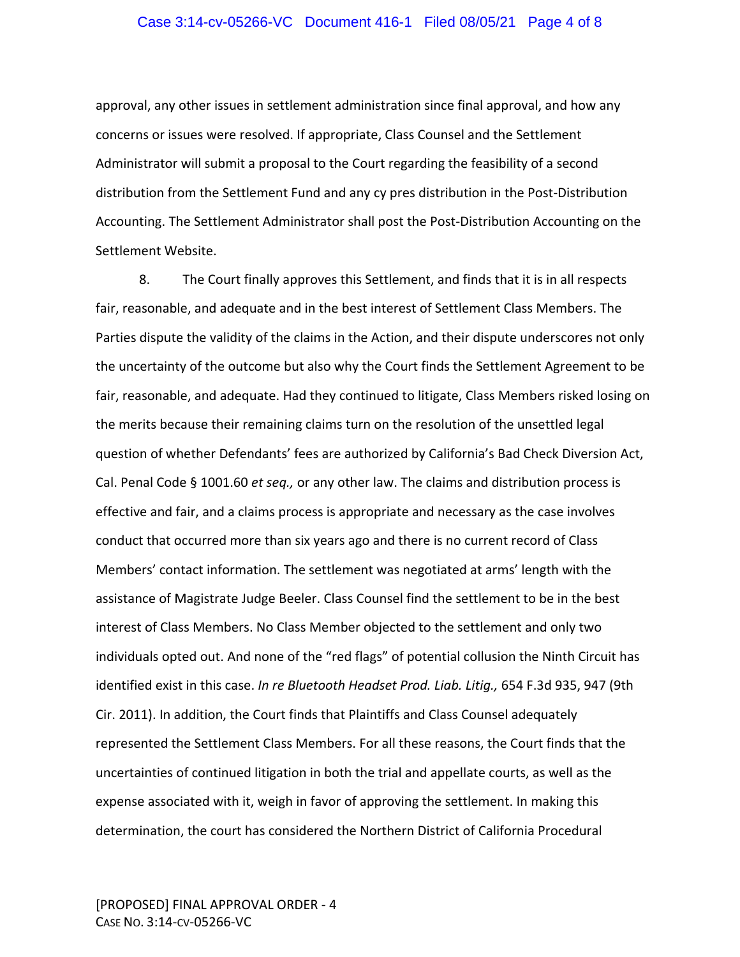## Case 3:14-cv-05266-VC Document 416-1 Filed 08/05/21 Page 4 of 8

approval, any other issues in settlement administration since final approval, and how any concerns or issues were resolved. If appropriate, Class Counsel and the Settlement Administrator will submit a proposal to the Court regarding the feasibility of a second distribution from the Settlement Fund and any cy pres distribution in the Post‐Distribution Accounting. The Settlement Administrator shall post the Post‐Distribution Accounting on the Settlement Website.

8. The Court finally approves this Settlement, and finds that it is in all respects fair, reasonable, and adequate and in the best interest of Settlement Class Members. The Parties dispute the validity of the claims in the Action, and their dispute underscores not only the uncertainty of the outcome but also why the Court finds the Settlement Agreement to be fair, reasonable, and adequate. Had they continued to litigate, Class Members risked losing on the merits because their remaining claims turn on the resolution of the unsettled legal question of whether Defendants' fees are authorized by California's Bad Check Diversion Act, Cal. Penal Code § 1001.60 *et seq.,* or any other law. The claims and distribution process is effective and fair, and a claims process is appropriate and necessary as the case involves conduct that occurred more than six years ago and there is no current record of Class Members' contact information. The settlement was negotiated at arms' length with the assistance of Magistrate Judge Beeler. Class Counsel find the settlement to be in the best interest of Class Members. No Class Member objected to the settlement and only two individuals opted out. And none of the "red flags" of potential collusion the Ninth Circuit has identified exist in this case. *In re Bluetooth Headset Prod. Liab. Litig.,* 654 F.3d 935, 947 (9th Cir. 2011). In addition, the Court finds that Plaintiffs and Class Counsel adequately represented the Settlement Class Members. For all these reasons, the Court finds that the uncertainties of continued litigation in both the trial and appellate courts, as well as the expense associated with it, weigh in favor of approving the settlement. In making this determination, the court has considered the Northern District of California Procedural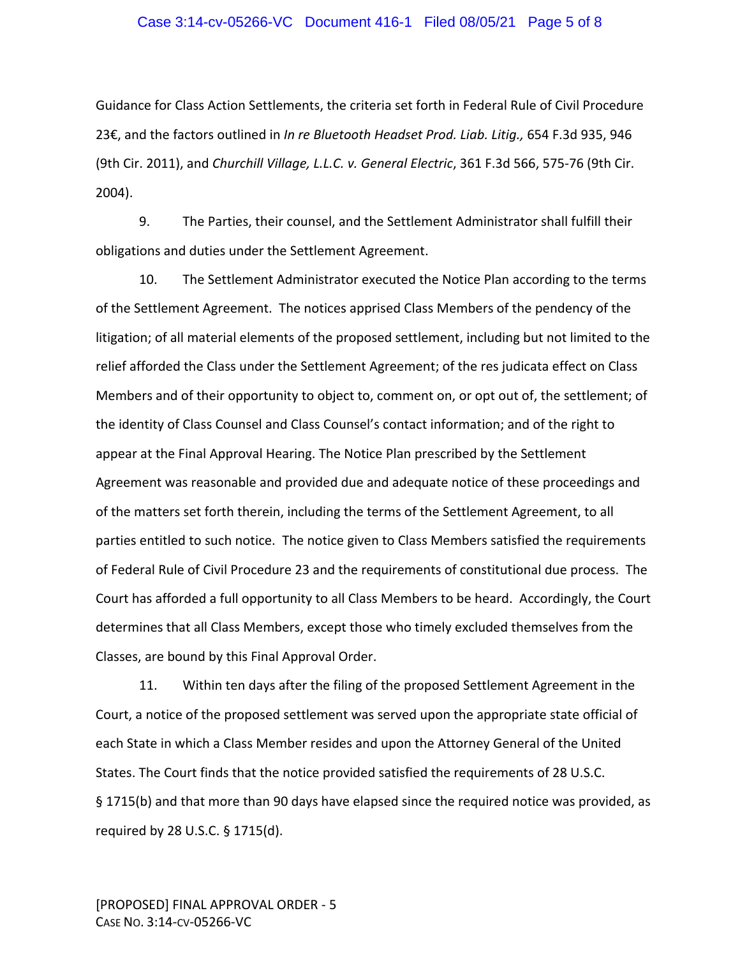#### Case 3:14-cv-05266-VC Document 416-1 Filed 08/05/21 Page 5 of 8

Guidance for Class Action Settlements, the criteria set forth in Federal Rule of Civil Procedure 23€, and the factors outlined in *In re Bluetooth Headset Prod. Liab. Litig.,* 654 F.3d 935, 946 (9th Cir. 2011), and *Churchill Village, L.L.C. v. General Electric*, 361 F.3d 566, 575‐76 (9th Cir. 2004).

9. The Parties, their counsel, and the Settlement Administrator shall fulfill their obligations and duties under the Settlement Agreement.

10. The Settlement Administrator executed the Notice Plan according to the terms of the Settlement Agreement. The notices apprised Class Members of the pendency of the litigation; of all material elements of the proposed settlement, including but not limited to the relief afforded the Class under the Settlement Agreement; of the res judicata effect on Class Members and of their opportunity to object to, comment on, or opt out of, the settlement; of the identity of Class Counsel and Class Counsel's contact information; and of the right to appear at the Final Approval Hearing. The Notice Plan prescribed by the Settlement Agreement was reasonable and provided due and adequate notice of these proceedings and of the matters set forth therein, including the terms of the Settlement Agreement, to all parties entitled to such notice. The notice given to Class Members satisfied the requirements of Federal Rule of Civil Procedure 23 and the requirements of constitutional due process. The Court has afforded a full opportunity to all Class Members to be heard. Accordingly, the Court determines that all Class Members, except those who timely excluded themselves from the Classes, are bound by this Final Approval Order.

11. Within ten days after the filing of the proposed Settlement Agreement in the Court, a notice of the proposed settlement was served upon the appropriate state official of each State in which a Class Member resides and upon the Attorney General of the United States. The Court finds that the notice provided satisfied the requirements of 28 U.S.C. § 1715(b) and that more than 90 days have elapsed since the required notice was provided, as required by 28 U.S.C. § 1715(d).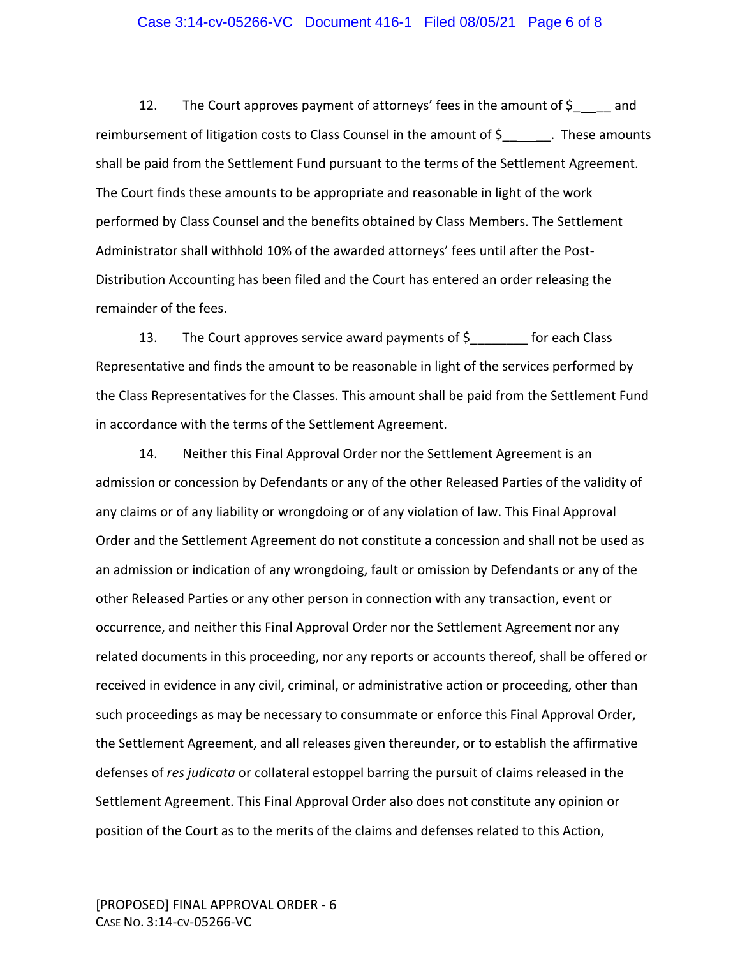## Case 3:14-cv-05266-VC Document 416-1 Filed 08/05/21 Page 6 of 8

12. The Court approves payment of attorneys' fees in the amount of  $\zeta$  \_\_\_\_\_ and reimbursement of litigation costs to Class Counsel in the amount of \$\_\_\_\_\_\_\_. These amounts shall be paid from the Settlement Fund pursuant to the terms of the Settlement Agreement. The Court finds these amounts to be appropriate and reasonable in light of the work performed by Class Counsel and the benefits obtained by Class Members. The Settlement Administrator shall withhold 10% of the awarded attorneys' fees until after the Post‐ Distribution Accounting has been filed and the Court has entered an order releasing the remainder of the fees.

13. The Court approves service award payments of \$\_\_\_\_\_\_\_\_ for each Class Representative and finds the amount to be reasonable in light of the services performed by the Class Representatives for the Classes. This amount shall be paid from the Settlement Fund in accordance with the terms of the Settlement Agreement.

14. Neither this Final Approval Order nor the Settlement Agreement is an admission or concession by Defendants or any of the other Released Parties of the validity of any claims or of any liability or wrongdoing or of any violation of law. This Final Approval Order and the Settlement Agreement do not constitute a concession and shall not be used as an admission or indication of any wrongdoing, fault or omission by Defendants or any of the other Released Parties or any other person in connection with any transaction, event or occurrence, and neither this Final Approval Order nor the Settlement Agreement nor any related documents in this proceeding, nor any reports or accounts thereof, shall be offered or received in evidence in any civil, criminal, or administrative action or proceeding, other than such proceedings as may be necessary to consummate or enforce this Final Approval Order, the Settlement Agreement, and all releases given thereunder, or to establish the affirmative defenses of *res judicata* or collateral estoppel barring the pursuit of claims released in the Settlement Agreement. This Final Approval Order also does not constitute any opinion or position of the Court as to the merits of the claims and defenses related to this Action,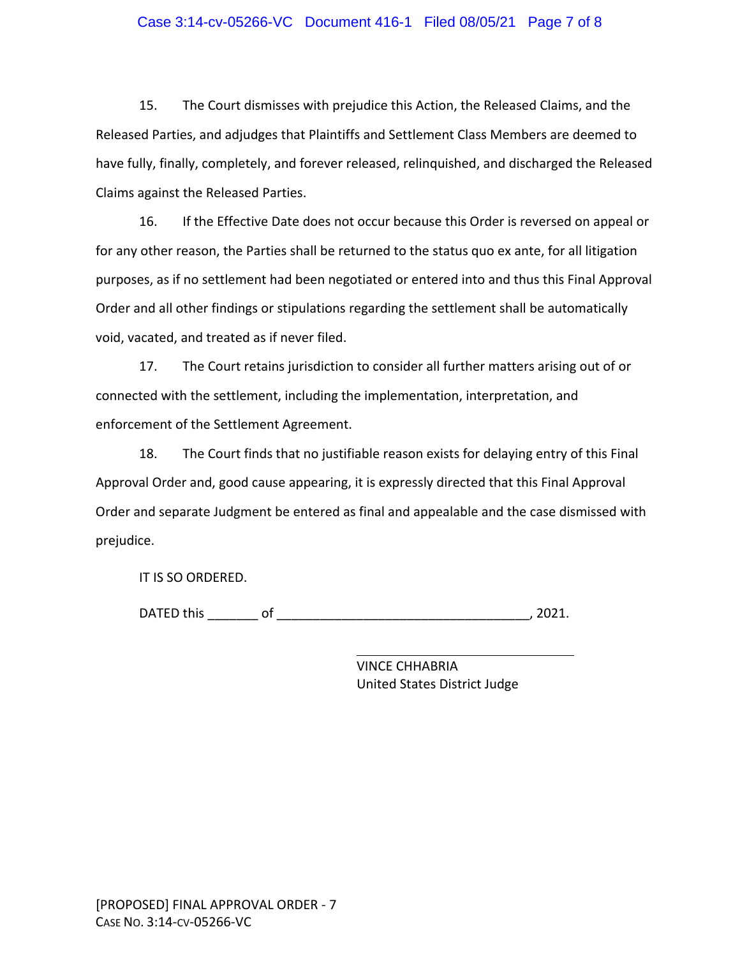## Case 3:14-cv-05266-VC Document 416-1 Filed 08/05/21 Page 7 of 8

15. The Court dismisses with prejudice this Action, the Released Claims, and the Released Parties, and adjudges that Plaintiffs and Settlement Class Members are deemed to have fully, finally, completely, and forever released, relinquished, and discharged the Released Claims against the Released Parties.

16. If the Effective Date does not occur because this Order is reversed on appeal or for any other reason, the Parties shall be returned to the status quo ex ante, for all litigation purposes, as if no settlement had been negotiated or entered into and thus this Final Approval Order and all other findings or stipulations regarding the settlement shall be automatically void, vacated, and treated as if never filed.

17. The Court retains jurisdiction to consider all further matters arising out of or connected with the settlement, including the implementation, interpretation, and enforcement of the Settlement Agreement.

18. The Court finds that no justifiable reason exists for delaying entry of this Final Approval Order and, good cause appearing, it is expressly directed that this Final Approval Order and separate Judgment be entered as final and appealable and the case dismissed with prejudice.

IT IS SO ORDERED.

DATED this of the contract of the contract of the contract of the contract of the contract of the contract of the contract of the contract of the contract of the contract of the contract of the contract of the contract of

VINCE CHHABRIA United States District Judge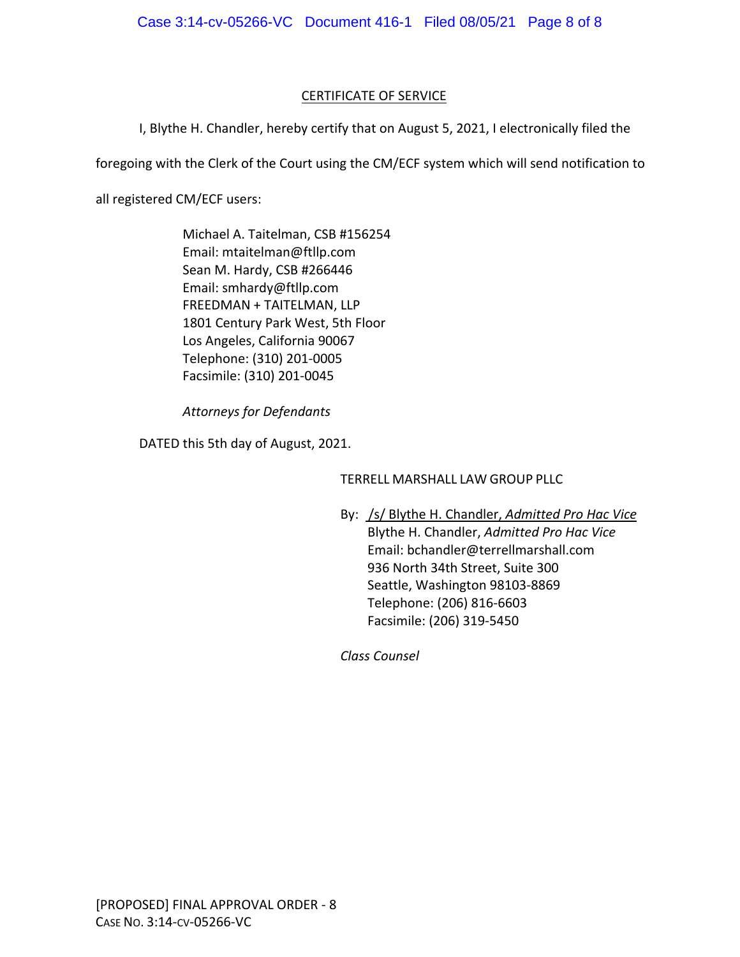# CERTIFICATE OF SERVICE

I, Blythe H. Chandler, hereby certify that on August 5, 2021, I electronically filed the

foregoing with the Clerk of the Court using the CM/ECF system which will send notification to

all registered CM/ECF users:

Michael A. Taitelman, CSB #156254 Email: mtaitelman@ftllp.com Sean M. Hardy, CSB #266446 Email: smhardy@ftllp.com FREEDMAN + TAITELMAN, LLP 1801 Century Park West, 5th Floor Los Angeles, California 90067 Telephone: (310) 201‐0005 Facsimile: (310) 201‐0045

*Attorneys for Defendants*

DATED this 5th day of August, 2021.

TERRELL MARSHALL LAW GROUP PLLC

By: /s/ Blythe H. Chandler, *Admitted Pro Hac Vice* Blythe H. Chandler, *Admitted Pro Hac Vice* Email: bchandler@terrellmarshall.com 936 North 34th Street, Suite 300 Seattle, Washington 98103‐8869 Telephone: (206) 816‐6603 Facsimile: (206) 319‐5450

*Class Counsel*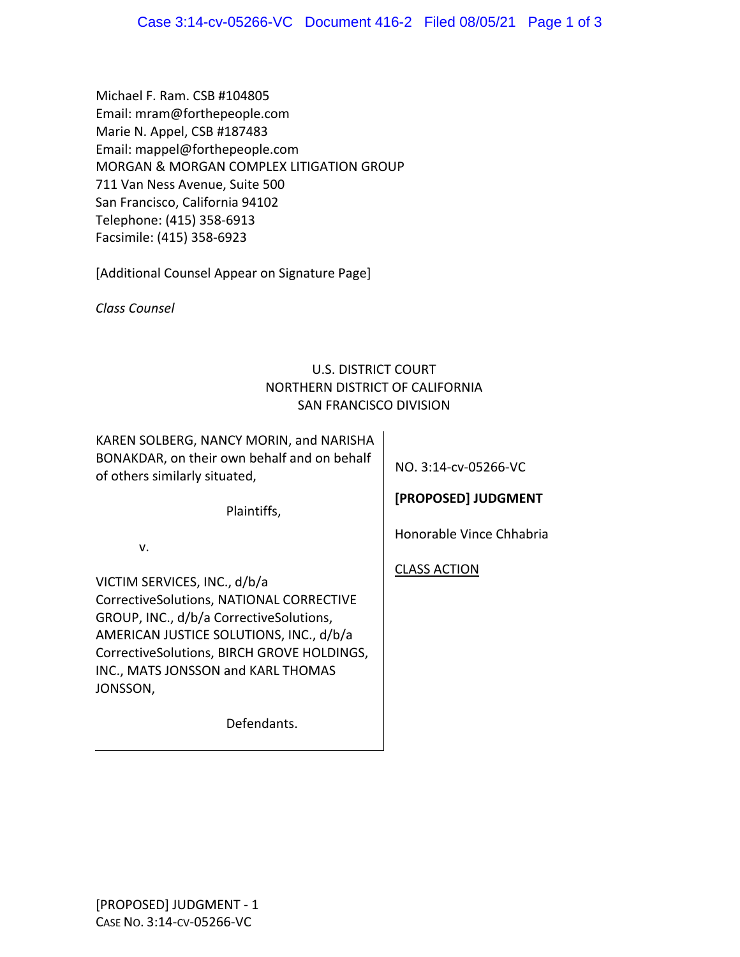Michael F. Ram. CSB #104805 Email: mram@forthepeople.com Marie N. Appel, CSB #187483 Email: mappel@forthepeople.com MORGAN & MORGAN COMPLEX LITIGATION GROUP 711 Van Ness Avenue, Suite 500 San Francisco, California 94102 Telephone: (415) 358‐6913 Facsimile: (415) 358‐6923

[Additional Counsel Appear on Signature Page]

*Class Counsel*

# U.S. DISTRICT COURT NORTHERN DISTRICT OF CALIFORNIA SAN FRANCISCO DIVISION

KAREN SOLBERG, NANCY MORIN, and NARISHA BONAKDAR, on their own behalf and on behalf of others similarly situated,

NO. 3:14‐cv‐05266‐VC

Plaintiffs,

**[PROPOSED] JUDGMENT** Honorable Vince Chhabria

v.

VICTIM SERVICES, INC., d/b/a CorrectiveSolutions, NATIONAL CORRECTIVE GROUP, INC., d/b/a CorrectiveSolutions, AMERICAN JUSTICE SOLUTIONS, INC., d/b/a CorrectiveSolutions, BIRCH GROVE HOLDINGS, INC., MATS JONSSON and KARL THOMAS JONSSON,

Defendants.

CLASS ACTION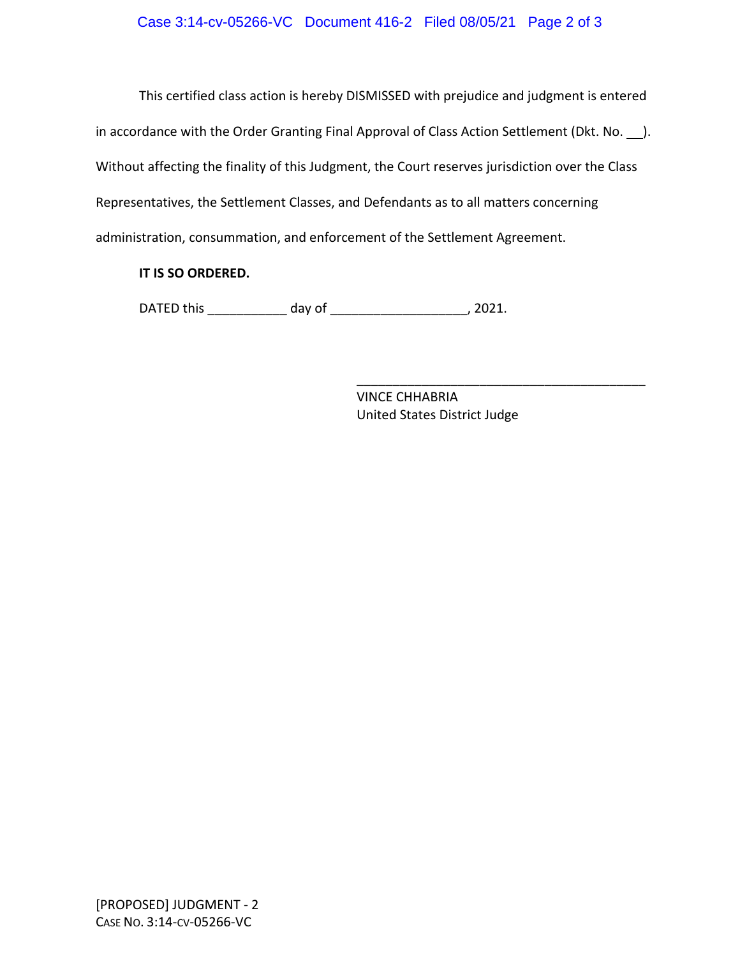This certified class action is hereby DISMISSED with prejudice and judgment is entered in accordance with the Order Granting Final Approval of Class Action Settlement (Dkt. No.  $\qquad$ ). Without affecting the finality of this Judgment, the Court reserves jurisdiction over the Class Representatives, the Settlement Classes, and Defendants as to all matters concerning administration, consummation, and enforcement of the Settlement Agreement.

# **IT IS SO ORDERED.**

DATED this \_\_\_\_\_\_\_\_\_\_\_ day of \_\_\_\_\_\_\_\_\_\_\_\_\_\_\_\_\_\_\_, 2021.

VINCE CHHABRIA United States District Judge

\_\_\_\_\_\_\_\_\_\_\_\_\_\_\_\_\_\_\_\_\_\_\_\_\_\_\_\_\_\_\_\_\_\_\_\_\_\_\_\_